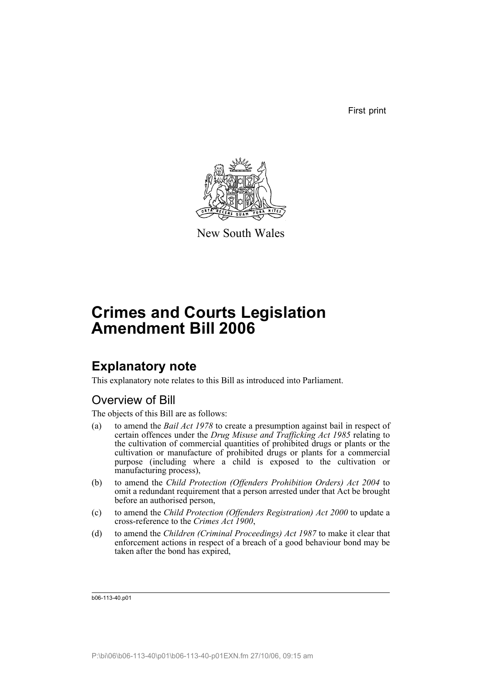First print



New South Wales

# **Crimes and Courts Legislation Amendment Bill 2006**

## **Explanatory note**

This explanatory note relates to this Bill as introduced into Parliament.

## Overview of Bill

The objects of this Bill are as follows:

- (a) to amend the *Bail Act 1978* to create a presumption against bail in respect of certain offences under the *Drug Misuse and Trafficking Act 1985* relating to the cultivation of commercial quantities of prohibited drugs or plants or the cultivation or manufacture of prohibited drugs or plants for a commercial purpose (including where a child is exposed to the cultivation or manufacturing process),
- (b) to amend the *Child Protection (Offenders Prohibition Orders) Act 2004* to omit a redundant requirement that a person arrested under that Act be brought before an authorised person,
- (c) to amend the *Child Protection (Offenders Registration) Act 2000* to update a cross-reference to the *Crimes Act 1900*,
- (d) to amend the *Children (Criminal Proceedings) Act 1987* to make it clear that enforcement actions in respect of a breach of a good behaviour bond may be taken after the bond has expired,

b06-113-40.p01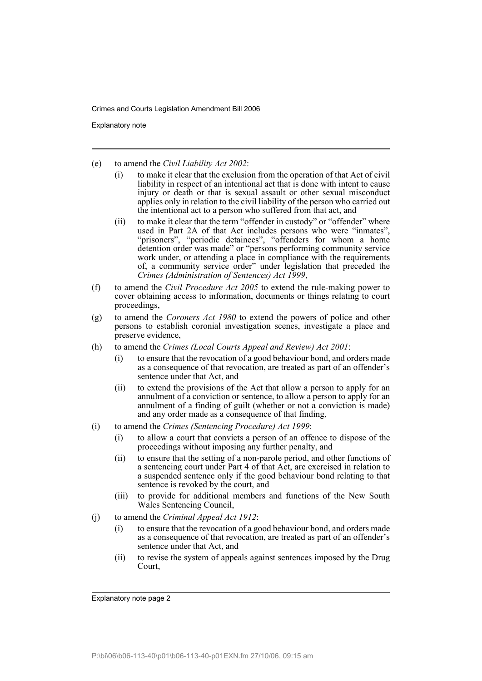Explanatory note

- (e) to amend the *Civil Liability Act 2002*:
	- (i) to make it clear that the exclusion from the operation of that Act of civil liability in respect of an intentional act that is done with intent to cause injury or death or that is sexual assault or other sexual misconduct applies only in relation to the civil liability of the person who carried out the intentional act to a person who suffered from that act, and
	- (ii) to make it clear that the term "offender in custody" or "offender" where used in Part 2A of that Act includes persons who were "inmates", "prisoners", "periodic detainees", "offenders for whom a home detention order was made" or "persons performing community service work under, or attending a place in compliance with the requirements of, a community service order" under legislation that preceded the *Crimes (Administration of Sentences) Act 1999*,
- (f) to amend the *Civil Procedure Act 2005* to extend the rule-making power to cover obtaining access to information, documents or things relating to court proceedings,
- (g) to amend the *Coroners Act 1980* to extend the powers of police and other persons to establish coronial investigation scenes, investigate a place and preserve evidence,
- (h) to amend the *Crimes (Local Courts Appeal and Review) Act 2001*:
	- (i) to ensure that the revocation of a good behaviour bond, and orders made as a consequence of that revocation, are treated as part of an offender's sentence under that Act, and
	- (ii) to extend the provisions of the Act that allow a person to apply for an annulment of a conviction or sentence, to allow a person to apply for an annulment of a finding of guilt (whether or not a conviction is made) and any order made as a consequence of that finding,
- (i) to amend the *Crimes (Sentencing Procedure) Act 1999*:
	- (i) to allow a court that convicts a person of an offence to dispose of the proceedings without imposing any further penalty, and
	- (ii) to ensure that the setting of a non-parole period, and other functions of a sentencing court under Part 4 of that Act, are exercised in relation to a suspended sentence only if the good behaviour bond relating to that sentence is revoked by the court, and
	- (iii) to provide for additional members and functions of the New South Wales Sentencing Council,
- (j) to amend the *Criminal Appeal Act 1912*:
	- (i) to ensure that the revocation of a good behaviour bond, and orders made as a consequence of that revocation, are treated as part of an offender's sentence under that Act, and
	- (ii) to revise the system of appeals against sentences imposed by the Drug Court,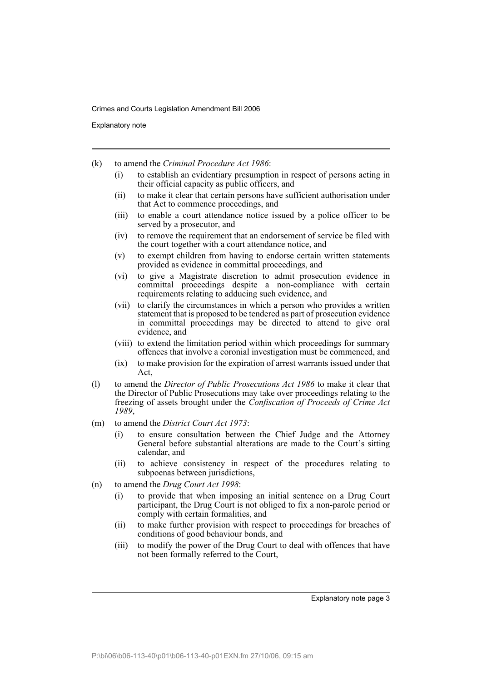Explanatory note

- (k) to amend the *Criminal Procedure Act 1986*:
	- (i) to establish an evidentiary presumption in respect of persons acting in their official capacity as public officers, and
	- (ii) to make it clear that certain persons have sufficient authorisation under that Act to commence proceedings, and
	- (iii) to enable a court attendance notice issued by a police officer to be served by a prosecutor, and
	- (iv) to remove the requirement that an endorsement of service be filed with the court together with a court attendance notice, and
	- (v) to exempt children from having to endorse certain written statements provided as evidence in committal proceedings, and
	- (vi) to give a Magistrate discretion to admit prosecution evidence in committal proceedings despite a non-compliance with certain requirements relating to adducing such evidence, and
	- (vii) to clarify the circumstances in which a person who provides a written statement that is proposed to be tendered as part of prosecution evidence in committal proceedings may be directed to attend to give oral evidence, and
	- (viii) to extend the limitation period within which proceedings for summary offences that involve a coronial investigation must be commenced, and
	- (ix) to make provision for the expiration of arrest warrants issued under that Act,
- (l) to amend the *Director of Public Prosecutions Act 1986* to make it clear that the Director of Public Prosecutions may take over proceedings relating to the freezing of assets brought under the *Confiscation of Proceeds of Crime Act 1989*,
- (m) to amend the *District Court Act 1973*:
	- (i) to ensure consultation between the Chief Judge and the Attorney General before substantial alterations are made to the Court's sitting calendar, and
	- (ii) to achieve consistency in respect of the procedures relating to subpoenas between jurisdictions,
- (n) to amend the *Drug Court Act 1998*:
	- (i) to provide that when imposing an initial sentence on a Drug Court participant, the Drug Court is not obliged to fix a non-parole period or comply with certain formalities, and
	- (ii) to make further provision with respect to proceedings for breaches of conditions of good behaviour bonds, and
	- (iii) to modify the power of the Drug Court to deal with offences that have not been formally referred to the Court,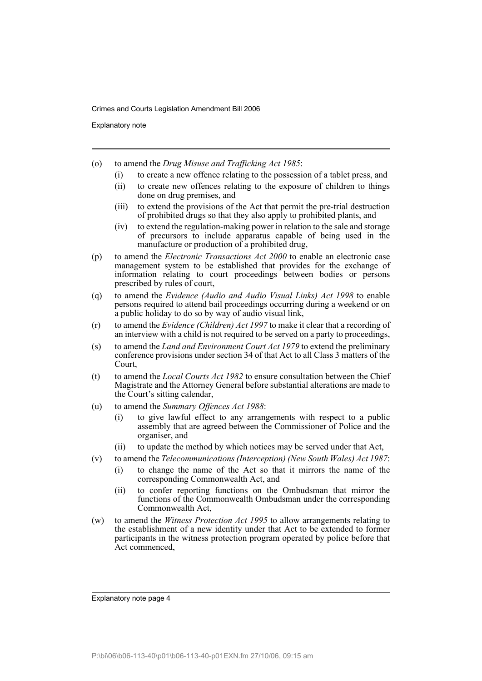Explanatory note

- (o) to amend the *Drug Misuse and Trafficking Act 1985*:
	- (i) to create a new offence relating to the possession of a tablet press, and
	- (ii) to create new offences relating to the exposure of children to things done on drug premises, and
	- (iii) to extend the provisions of the Act that permit the pre-trial destruction of prohibited drugs so that they also apply to prohibited plants, and
	- (iv) to extend the regulation-making power in relation to the sale and storage of precursors to include apparatus capable of being used in the manufacture or production of a prohibited drug,
- (p) to amend the *Electronic Transactions Act 2000* to enable an electronic case management system to be established that provides for the exchange of information relating to court proceedings between bodies or persons prescribed by rules of court,
- (q) to amend the *Evidence (Audio and Audio Visual Links) Act 1998* to enable persons required to attend bail proceedings occurring during a weekend or on a public holiday to do so by way of audio visual link,
- (r) to amend the *Evidence (Children) Act 1997* to make it clear that a recording of an interview with a child is not required to be served on a party to proceedings,
- (s) to amend the *Land and Environment Court Act 1979* to extend the preliminary conference provisions under section 34 of that Act to all Class 3 matters of the Court,
- (t) to amend the *Local Courts Act 1982* to ensure consultation between the Chief Magistrate and the Attorney General before substantial alterations are made to the Court's sitting calendar,
- (u) to amend the *Summary Offences Act 1988*:
	- (i) to give lawful effect to any arrangements with respect to a public assembly that are agreed between the Commissioner of Police and the organiser, and
	- (ii) to update the method by which notices may be served under that Act,
- (v) to amend the *Telecommunications (Interception) (New South Wales) Act 1987*:
	- (i) to change the name of the Act so that it mirrors the name of the corresponding Commonwealth Act, and
	- (ii) to confer reporting functions on the Ombudsman that mirror the functions of the Commonwealth Ombudsman under the corresponding Commonwealth Act,
- (w) to amend the *Witness Protection Act 1995* to allow arrangements relating to the establishment of a new identity under that Act to be extended to former participants in the witness protection program operated by police before that Act commenced,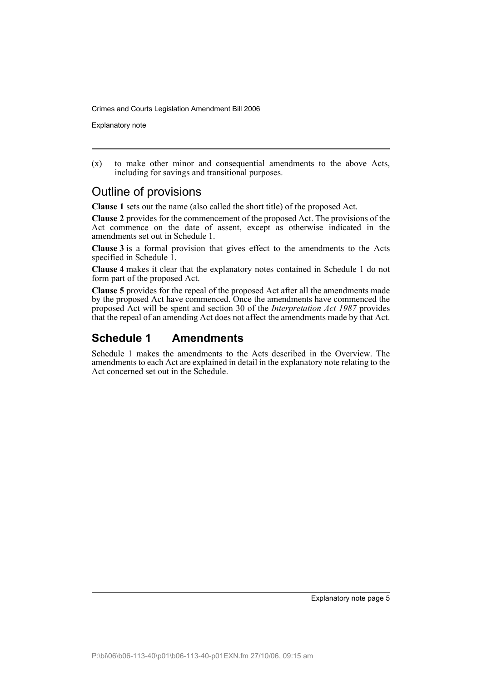Explanatory note

(x) to make other minor and consequential amendments to the above Acts, including for savings and transitional purposes.

## Outline of provisions

**Clause 1** sets out the name (also called the short title) of the proposed Act.

**Clause 2** provides for the commencement of the proposed Act. The provisions of the Act commence on the date of assent, except as otherwise indicated in the amendments set out in Schedule 1.

**Clause 3** is a formal provision that gives effect to the amendments to the Acts specified in Schedule 1.

**Clause 4** makes it clear that the explanatory notes contained in Schedule 1 do not form part of the proposed Act.

**Clause 5** provides for the repeal of the proposed Act after all the amendments made by the proposed Act have commenced. Once the amendments have commenced the proposed Act will be spent and section 30 of the *Interpretation Act 1987* provides that the repeal of an amending Act does not affect the amendments made by that Act.

### **Schedule 1 Amendments**

Schedule 1 makes the amendments to the Acts described in the Overview. The amendments to each Act are explained in detail in the explanatory note relating to the Act concerned set out in the Schedule.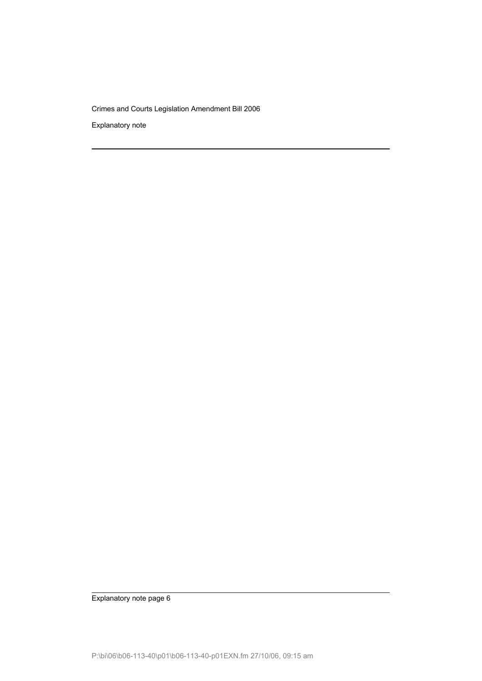Explanatory note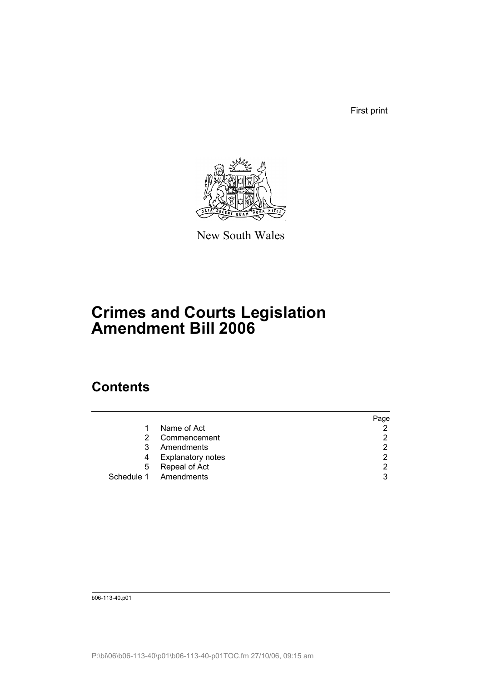First print



New South Wales

## **Crimes and Courts Legislation Amendment Bill 2006**

## **Contents**

|   |                          | Page |
|---|--------------------------|------|
|   | Name of Act              | 2    |
| 2 | Commencement             | 2    |
| 3 | Amendments               | 2    |
| 4 | <b>Explanatory notes</b> | 2    |
| 5 | Repeal of Act            | 2    |
|   | Schedule 1 Amendments    | 3    |

b06-113-40.p01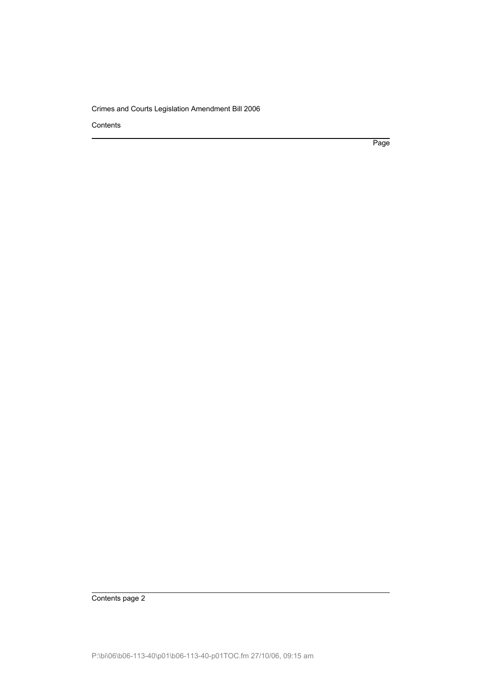Contents

Page

Contents page 2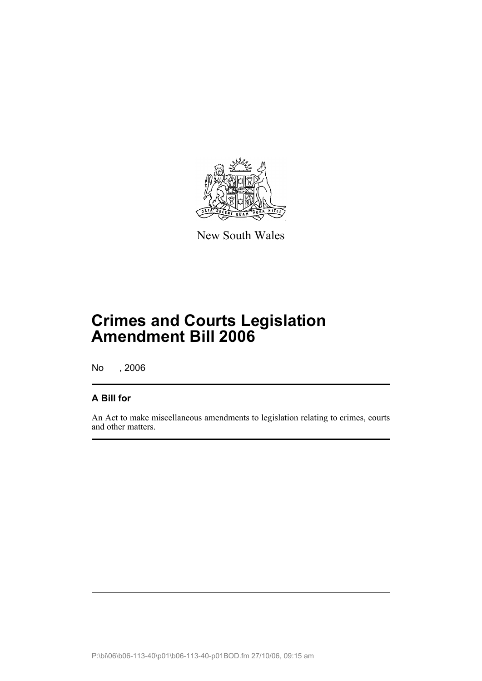

New South Wales

## **Crimes and Courts Legislation Amendment Bill 2006**

No , 2006

### **A Bill for**

An Act to make miscellaneous amendments to legislation relating to crimes, courts and other matters.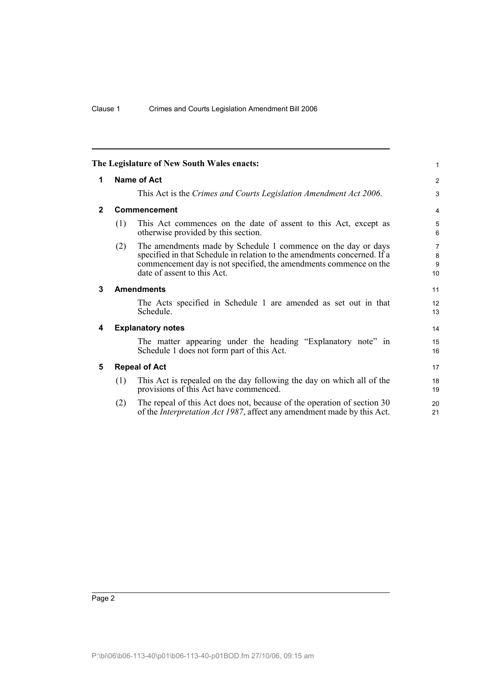<span id="page-9-4"></span><span id="page-9-3"></span><span id="page-9-2"></span><span id="page-9-1"></span><span id="page-9-0"></span>

|              |     | The Legislature of New South Wales enacts:                                                                                                                                                                                                    | $\mathbf{1}$                   |
|--------------|-----|-----------------------------------------------------------------------------------------------------------------------------------------------------------------------------------------------------------------------------------------------|--------------------------------|
| 1            |     | Name of Act                                                                                                                                                                                                                                   | $\overline{2}$                 |
|              |     | This Act is the Crimes and Courts Legislation Amendment Act 2006.                                                                                                                                                                             | 3                              |
| $\mathbf{2}$ |     | Commencement                                                                                                                                                                                                                                  | $\overline{4}$                 |
|              | (1) | This Act commences on the date of assent to this Act, except as<br>otherwise provided by this section.                                                                                                                                        | 5<br>$6\phantom{1}$            |
|              | (2) | The amendments made by Schedule 1 commence on the day or days<br>specified in that Schedule in relation to the amendments concerned. If a<br>commencement day is not specified, the amendments commence on the<br>date of assent to this Act. | $\overline{7}$<br>8<br>9<br>10 |
| 3            |     | <b>Amendments</b>                                                                                                                                                                                                                             | 11                             |
|              |     | The Acts specified in Schedule 1 are amended as set out in that<br>Schedule.                                                                                                                                                                  | 12<br>13                       |
| 4            |     | <b>Explanatory notes</b>                                                                                                                                                                                                                      | 14                             |
|              |     | The matter appearing under the heading "Explanatory note" in<br>Schedule 1 does not form part of this Act.                                                                                                                                    | 15<br>16                       |
| 5            |     | <b>Repeal of Act</b>                                                                                                                                                                                                                          | 17                             |
|              | (1) | This Act is repealed on the day following the day on which all of the<br>provisions of this Act have commenced.                                                                                                                               | 18<br>19                       |
|              | (2) | The repeal of this Act does not, because of the operation of section 30<br>of the <i>Interpretation Act 1987</i> , affect any amendment made by this Act.                                                                                     | 20<br>21                       |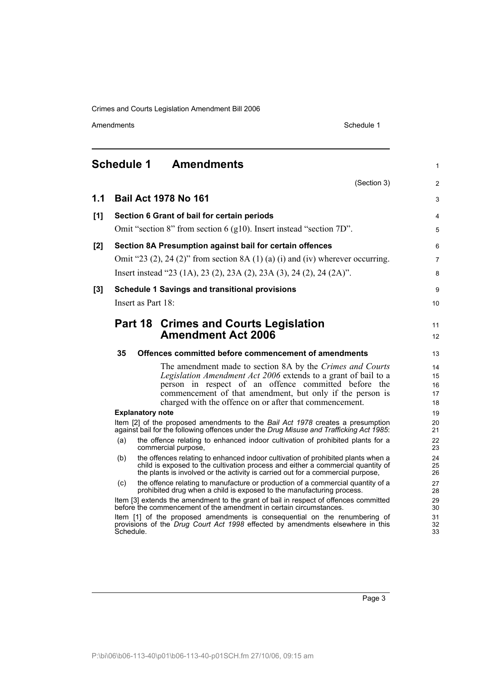Amendments Schedule 1

<span id="page-10-0"></span>

|       |                             | <b>Schedule 1 Amendments</b>                                                                                                                                                                                                                           | $\mathbf{1}$   |
|-------|-----------------------------|--------------------------------------------------------------------------------------------------------------------------------------------------------------------------------------------------------------------------------------------------------|----------------|
|       |                             | (Section 3)                                                                                                                                                                                                                                            | 2              |
| 1.1   | <b>Bail Act 1978 No 161</b> |                                                                                                                                                                                                                                                        | 3              |
| [1]   |                             | Section 6 Grant of bail for certain periods                                                                                                                                                                                                            | $\overline{4}$ |
|       |                             | Omit "section 8" from section 6 $(g10)$ . Insert instead "section 7D".                                                                                                                                                                                 | 5              |
| $[2]$ |                             | Section 8A Presumption against bail for certain offences                                                                                                                                                                                               | 6              |
|       |                             | Omit "23 (2), 24 (2)" from section 8A (1) (a) (i) and (iv) wherever occurring.                                                                                                                                                                         | $\overline{7}$ |
|       |                             | Insert instead "23 (1A), 23 (2), 23A (2), 23A (3), 24 (2), 24 (2A)".                                                                                                                                                                                   | 8              |
| $[3]$ |                             | <b>Schedule 1 Savings and transitional provisions</b>                                                                                                                                                                                                  | 9              |
|       | Insert as Part 18:          |                                                                                                                                                                                                                                                        | 10             |
|       |                             | <b>Part 18 Crimes and Courts Legislation</b>                                                                                                                                                                                                           | 11             |
|       |                             | <b>Amendment Act 2006</b>                                                                                                                                                                                                                              | 12             |
|       | 35                          | Offences committed before commencement of amendments                                                                                                                                                                                                   | 13             |
|       |                             | The amendment made to section 8A by the Crimes and Courts                                                                                                                                                                                              | 14             |
|       |                             | Legislation Amendment Act 2006 extends to a grant of bail to a<br>person in respect of an offence committed before the                                                                                                                                 | 15<br>16       |
|       |                             | commencement of that amendment, but only if the person is                                                                                                                                                                                              | 17             |
|       |                             | charged with the offence on or after that commencement.                                                                                                                                                                                                | 18             |
|       | <b>Explanatory note</b>     |                                                                                                                                                                                                                                                        | 19             |
|       |                             | Item [2] of the proposed amendments to the Bail Act 1978 creates a presumption<br>against bail for the following offences under the Drug Misuse and Trafficking Act 1985:                                                                              | 20<br>21       |
|       | (a)                         | the offence relating to enhanced indoor cultivation of prohibited plants for a<br>commercial purpose,                                                                                                                                                  | 22<br>23       |
|       | (b)                         | the offences relating to enhanced indoor cultivation of prohibited plants when a<br>child is exposed to the cultivation process and either a commercial quantity of<br>the plants is involved or the activity is carried out for a commercial purpose, | 24<br>25<br>26 |
|       | (c)                         | the offence relating to manufacture or production of a commercial quantity of a<br>prohibited drug when a child is exposed to the manufacturing process.                                                                                               | 27<br>28       |
|       |                             | Item [3] extends the amendment to the grant of bail in respect of offences committed<br>before the commencement of the amendment in certain circumstances.                                                                                             | 29<br>30       |
|       | Schedule.                   | Item [1] of the proposed amendments is consequential on the renumbering of<br>provisions of the Drug Court Act 1998 effected by amendments elsewhere in this                                                                                           | 31<br>32<br>33 |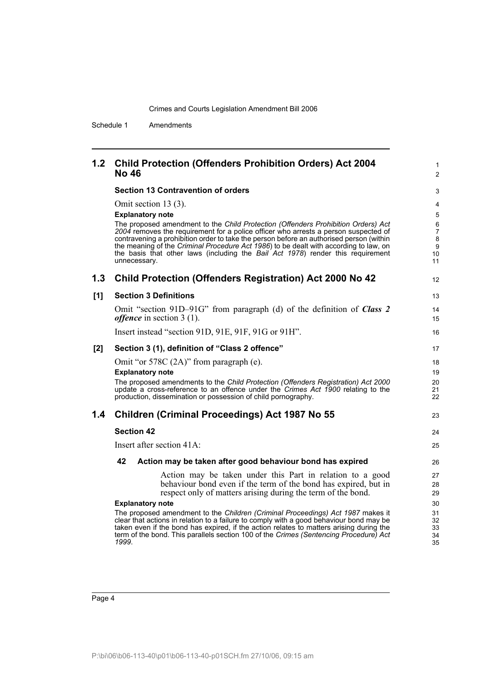| 1.2 | <b>Child Protection (Offenders Prohibition Orders) Act 2004</b><br><b>No 46</b>                                                                                                                                                                                                                                                                                                                                                                                 | $\mathbf{1}$<br>2                         |
|-----|-----------------------------------------------------------------------------------------------------------------------------------------------------------------------------------------------------------------------------------------------------------------------------------------------------------------------------------------------------------------------------------------------------------------------------------------------------------------|-------------------------------------------|
|     | <b>Section 13 Contravention of orders</b>                                                                                                                                                                                                                                                                                                                                                                                                                       | 3                                         |
|     | Omit section 13 $(3)$ .<br><b>Explanatory note</b>                                                                                                                                                                                                                                                                                                                                                                                                              | $\overline{4}$<br>5                       |
|     | The proposed amendment to the Child Protection (Offenders Prohibition Orders) Act<br>2004 removes the requirement for a police officer who arrests a person suspected of<br>contravening a prohibition order to take the person before an authorised person (within<br>the meaning of the Criminal Procedure Act 1986) to be dealt with according to law, on<br>the basis that other laws (including the Bail Act 1978) render this requirement<br>unnecessary. | 6<br>$\overline{7}$<br>8<br>9<br>10<br>11 |
| 1.3 | <b>Child Protection (Offenders Registration) Act 2000 No 42</b>                                                                                                                                                                                                                                                                                                                                                                                                 | 12                                        |
| [1] | <b>Section 3 Definitions</b>                                                                                                                                                                                                                                                                                                                                                                                                                                    | 13                                        |
|     | Omit "section 91D–91G" from paragraph (d) of the definition of Class 2<br><i>offence</i> in section $3(1)$ .                                                                                                                                                                                                                                                                                                                                                    | 14<br>15                                  |
|     | Insert instead "section 91D, 91E, 91F, 91G or 91H".                                                                                                                                                                                                                                                                                                                                                                                                             | 16                                        |
| [2] | Section 3 (1), definition of "Class 2 offence"                                                                                                                                                                                                                                                                                                                                                                                                                  | 17                                        |
|     | Omit "or 578C (2A)" from paragraph (e).                                                                                                                                                                                                                                                                                                                                                                                                                         | 18                                        |
|     | <b>Explanatory note</b>                                                                                                                                                                                                                                                                                                                                                                                                                                         | 19                                        |
|     | The proposed amendments to the Child Protection (Offenders Registration) Act 2000<br>update a cross-reference to an offence under the Crimes Act 1900 relating to the<br>production, dissemination or possession of child pornography.                                                                                                                                                                                                                          | 20<br>21<br>22                            |
| 1.4 | Children (Criminal Proceedings) Act 1987 No 55                                                                                                                                                                                                                                                                                                                                                                                                                  | 23                                        |
|     | <b>Section 42</b>                                                                                                                                                                                                                                                                                                                                                                                                                                               | 24                                        |
|     | Insert after section 41A:                                                                                                                                                                                                                                                                                                                                                                                                                                       | 25                                        |
|     | 42<br>Action may be taken after good behaviour bond has expired                                                                                                                                                                                                                                                                                                                                                                                                 | 26                                        |
|     | Action may be taken under this Part in relation to a good<br>behaviour bond even if the term of the bond has expired, but in<br>respect only of matters arising during the term of the bond.                                                                                                                                                                                                                                                                    | 27<br>28<br>29                            |
|     | <b>Explanatory note</b>                                                                                                                                                                                                                                                                                                                                                                                                                                         | 30                                        |
|     | The proposed amendment to the Children (Criminal Proceedings) Act 1987 makes it                                                                                                                                                                                                                                                                                                                                                                                 | 31                                        |
|     | clear that actions in relation to a failure to comply with a good behaviour bond may be                                                                                                                                                                                                                                                                                                                                                                         | 32                                        |
|     | taken even if the bond has expired, if the action relates to matters arising during the<br>term of the bond. This parallels section 100 of the Crimes (Sentencing Procedure) Act<br>1999.                                                                                                                                                                                                                                                                       | 33<br>34<br>35                            |
|     |                                                                                                                                                                                                                                                                                                                                                                                                                                                                 |                                           |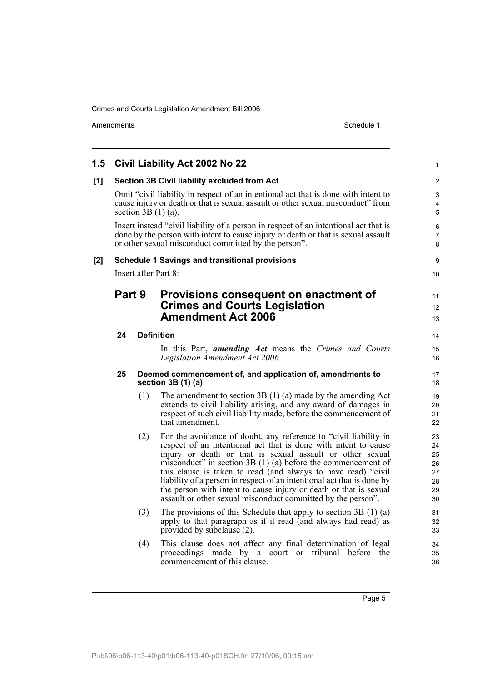Amendments Schedule 1

|     |                                                                                                                                                                                                                                   |                                              | 1.5 Civil Liability Act 2002 No 22                                                                                                                                                                                                                                                                                                                                                                                                                                                                                                               | 1                                            |  |  |  |  |
|-----|-----------------------------------------------------------------------------------------------------------------------------------------------------------------------------------------------------------------------------------|----------------------------------------------|--------------------------------------------------------------------------------------------------------------------------------------------------------------------------------------------------------------------------------------------------------------------------------------------------------------------------------------------------------------------------------------------------------------------------------------------------------------------------------------------------------------------------------------------------|----------------------------------------------|--|--|--|--|
| [1] |                                                                                                                                                                                                                                   | Section 3B Civil liability excluded from Act |                                                                                                                                                                                                                                                                                                                                                                                                                                                                                                                                                  |                                              |  |  |  |  |
|     |                                                                                                                                                                                                                                   |                                              | Omit "civil liability in respect of an intentional act that is done with intent to<br>cause injury or death or that is sexual assault or other sexual misconduct" from<br>section $3B(1)(a)$ .                                                                                                                                                                                                                                                                                                                                                   | 3<br>4<br>5                                  |  |  |  |  |
|     | Insert instead "civil liability of a person in respect of an intentional act that is<br>done by the person with intent to cause injury or death or that is sexual assault<br>or other sexual misconduct committed by the person". |                                              |                                                                                                                                                                                                                                                                                                                                                                                                                                                                                                                                                  |                                              |  |  |  |  |
| [2] |                                                                                                                                                                                                                                   |                                              | <b>Schedule 1 Savings and transitional provisions</b>                                                                                                                                                                                                                                                                                                                                                                                                                                                                                            | 9                                            |  |  |  |  |
|     |                                                                                                                                                                                                                                   |                                              | Insert after Part 8:                                                                                                                                                                                                                                                                                                                                                                                                                                                                                                                             | 10                                           |  |  |  |  |
|     | Part 9<br>Provisions consequent on enactment of<br><b>Crimes and Courts Legislation</b><br><b>Amendment Act 2006</b>                                                                                                              |                                              |                                                                                                                                                                                                                                                                                                                                                                                                                                                                                                                                                  |                                              |  |  |  |  |
|     | 24                                                                                                                                                                                                                                |                                              | <b>Definition</b>                                                                                                                                                                                                                                                                                                                                                                                                                                                                                                                                | 14                                           |  |  |  |  |
|     |                                                                                                                                                                                                                                   |                                              | In this Part, <i>amending Act</i> means the Crimes and Courts<br>Legislation Amendment Act 2006.                                                                                                                                                                                                                                                                                                                                                                                                                                                 | 15<br>16                                     |  |  |  |  |
|     | 25                                                                                                                                                                                                                                |                                              | Deemed commencement of, and application of, amendments to<br>section $3B(1)(a)$                                                                                                                                                                                                                                                                                                                                                                                                                                                                  | 17<br>18                                     |  |  |  |  |
|     |                                                                                                                                                                                                                                   | (1)                                          | The amendment to section $3B(1)(a)$ made by the amending Act<br>extends to civil liability arising, and any award of damages in<br>respect of such civil liability made, before the commencement of<br>that amendment.                                                                                                                                                                                                                                                                                                                           | 19<br>20<br>21<br>22                         |  |  |  |  |
|     |                                                                                                                                                                                                                                   | (2)                                          | For the avoidance of doubt, any reference to "civil liability in<br>respect of an intentional act that is done with intent to cause<br>injury or death or that is sexual assault or other sexual<br>misconduct" in section $3B(1)(a)$ before the commencement of<br>this clause is taken to read (and always to have read) "civil<br>liability of a person in respect of an intentional act that is done by<br>the person with intent to cause injury or death or that is sexual<br>assault or other sexual misconduct committed by the person". | 23<br>24<br>25<br>26<br>27<br>28<br>29<br>30 |  |  |  |  |
|     |                                                                                                                                                                                                                                   | (3)                                          | The provisions of this Schedule that apply to section $3B(1)(a)$<br>apply to that paragraph as if it read (and always had read) as<br>provided by subclause (2).                                                                                                                                                                                                                                                                                                                                                                                 | 31<br>32<br>33                               |  |  |  |  |
|     |                                                                                                                                                                                                                                   | (4)                                          | This clause does not affect any final determination of legal<br>proceedings made by a court or tribunal before the<br>commencement of this clause.                                                                                                                                                                                                                                                                                                                                                                                               | 34<br>35<br>36                               |  |  |  |  |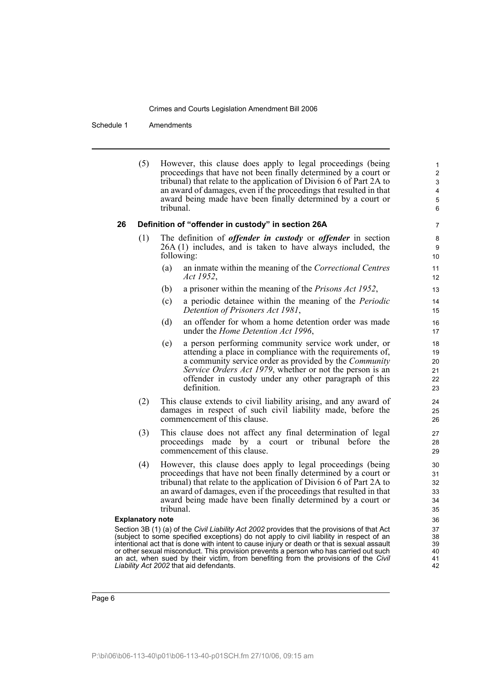Schedule 1 Amendments

(5) However, this clause does apply to legal proceedings (being proceedings that have not been finally determined by a court or tribunal) that relate to the application of Division 6 of Part 2A to an award of damages, even if the proceedings that resulted in that award being made have been finally determined by a court or tribunal.

#### **26 Definition of "offender in custody" in section 26A**

- (1) The definition of *offender in custody* or *offender* in section 26A (1) includes, and is taken to have always included, the following:
	- (a) an inmate within the meaning of the *Correctional Centres Act 1952*,
	- (b) a prisoner within the meaning of the *Prisons Act 1952*,
	- (c) a periodic detainee within the meaning of the *Periodic Detention of Prisoners Act 1981*,
	- (d) an offender for whom a home detention order was made under the *Home Detention Act 1996*,
	- (e) a person performing community service work under, or attending a place in compliance with the requirements of, a community service order as provided by the *Community Service Orders Act 1979*, whether or not the person is an offender in custody under any other paragraph of this definition.
- (2) This clause extends to civil liability arising, and any award of damages in respect of such civil liability made, before the commencement of this clause.
- (3) This clause does not affect any final determination of legal proceedings made by a court or tribunal before the commencement of this clause.
- (4) However, this clause does apply to legal proceedings (being proceedings that have not been finally determined by a court or tribunal) that relate to the application of Division 6 of Part 2A to an award of damages, even if the proceedings that resulted in that award being made have been finally determined by a court or tribunal.

#### **Explanatory note**

Section 3B (1) (a) of the *Civil Liability Act 2002* provides that the provisions of that Act (subject to some specified exceptions) do not apply to civil liability in respect of an intentional act that is done with intent to cause injury or death or that is sexual assault or other sexual misconduct. This provision prevents a person who has carried out such an act, when sued by their victim, from benefiting from the provisions of the *Civil Liability Act 2002* that aid defendants.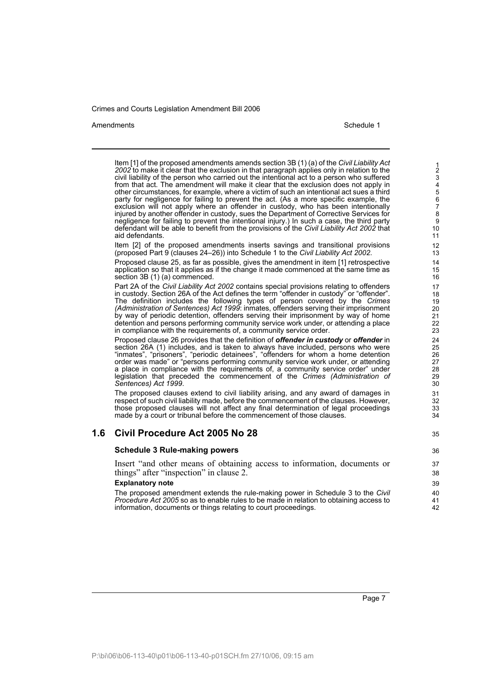#### Amendments **Amendments** Schedule 1

Item [1] of the proposed amendments amends section 3B (1) (a) of the *Civil Liability Act 2002* to make it clear that the exclusion in that paragraph applies only in relation to the civil liability of the person who carried out the intentional act to a person who suffered from that act. The amendment will make it clear that the exclusion does not apply in other circumstances, for example, where a victim of such an intentional act sues a third party for negligence for failing to prevent the act. (As a more specific example, the exclusion will not apply where an offender in custody, who has been intentionally injured by another offender in custody, sues the Department of Corrective Services for negligence for failing to prevent the intentional injury.) In such a case, the third party defendant will be able to benefit from the provisions of the *Civil Liability Act 2002* that aid defendants.

Item [2] of the proposed amendments inserts savings and transitional provisions (proposed Part 9 (clauses 24–26)) into Schedule 1 to the *Civil Liability Act 2002*.

Proposed clause 25, as far as possible, gives the amendment in item [1] retrospective application so that it applies as if the change it made commenced at the same time as section 3B (1) (a) commenced.

Part 2A of the *Civil Liability Act 2002* contains special provisions relating to offenders in custody. Section 26A of the Act defines the term "offender in custody" or "offender". The definition includes the following types of person covered by the *Crimes (Administration of Sentences) Act 1999*: inmates, offenders serving their imprisonment by way of periodic detention, offenders serving their imprisonment by way of home detention and persons performing community service work under, or attending a place in compliance with the requirements of, a community service order.

Proposed clause 26 provides that the definition of *offender in custody* or *offender* in section 26A (1) includes, and is taken to always have included, persons who were "inmates", "prisoners", "periodic detainees", "offenders for whom a home detention order was made" or "persons performing community service work under, or attending a place in compliance with the requirements of, a community service order" under legislation that preceded the commencement of the *Crimes (Administration of Sentences) Act 1999*.

The proposed clauses extend to civil liability arising, and any award of damages in respect of such civil liability made, before the commencement of the clauses. However, those proposed clauses will not affect any final determination of legal proceedings made by a court or tribunal before the commencement of those clauses.

### **1.6 Civil Procedure Act 2005 No 28**

#### **Schedule 3 Rule-making powers**

Insert "and other means of obtaining access to information, documents or things" after "inspection" in clause 2.

#### **Explanatory note**

The proposed amendment extends the rule-making power in Schedule 3 to the *Civil Procedure Act 2005* so as to enable rules to be made in relation to obtaining access to information, documents or things relating to court proceedings.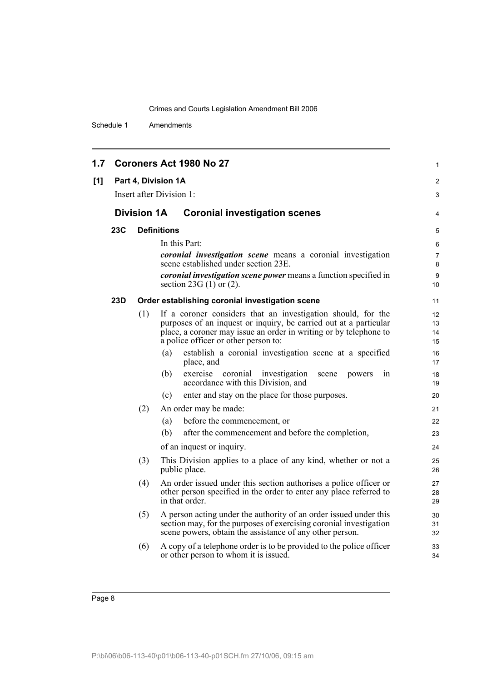| 1.7 | <b>Coroners Act 1980 No 27</b> |                    |                                                                                                                                                                                                     |                |  |
|-----|--------------------------------|--------------------|-----------------------------------------------------------------------------------------------------------------------------------------------------------------------------------------------------|----------------|--|
| [1] | Part 4, Division 1A            |                    |                                                                                                                                                                                                     |                |  |
|     |                                |                    | Insert after Division 1:                                                                                                                                                                            | 3              |  |
|     |                                | <b>Division 1A</b> | <b>Coronial investigation scenes</b>                                                                                                                                                                | 4              |  |
|     | 23C                            |                    | <b>Definitions</b>                                                                                                                                                                                  | 5              |  |
|     |                                |                    | In this Part:                                                                                                                                                                                       | 6              |  |
|     |                                |                    | <i>coronial investigation scene</i> means a coronial investigation                                                                                                                                  | $\overline{7}$ |  |
|     |                                |                    | scene established under section 23E.                                                                                                                                                                | 8              |  |
|     |                                |                    | coronial investigation scene power means a function specified in<br>section 23G $(1)$ or $(2)$ .                                                                                                    | 9<br>10        |  |
|     | 23D                            |                    | Order establishing coronial investigation scene                                                                                                                                                     | 11             |  |
|     |                                | (1)                | If a coroner considers that an investigation should, for the                                                                                                                                        | 12             |  |
|     |                                |                    | purposes of an inquest or inquiry, be carried out at a particular<br>place, a coroner may issue an order in writing or by telephone to                                                              | 13<br>14       |  |
|     |                                |                    | a police officer or other person to:                                                                                                                                                                | 15             |  |
|     |                                |                    | establish a coronial investigation scene at a specified<br>(a)                                                                                                                                      | 16             |  |
|     |                                |                    | place, and                                                                                                                                                                                          | 17             |  |
|     |                                |                    | coronial<br>investigation<br>(b)<br>exercise<br>scene<br>powers<br>1n<br>accordance with this Division, and                                                                                         | 18<br>19       |  |
|     |                                |                    | enter and stay on the place for those purposes.<br>(c)                                                                                                                                              | 20             |  |
|     |                                | (2)                | An order may be made:                                                                                                                                                                               | 21             |  |
|     |                                |                    | before the commencement, or<br>(a)                                                                                                                                                                  | 22             |  |
|     |                                |                    | (b)<br>after the commencement and before the completion,                                                                                                                                            | 23             |  |
|     |                                |                    | of an inquest or inquiry.                                                                                                                                                                           | 24             |  |
|     |                                | (3)                | This Division applies to a place of any kind, whether or not a<br>public place.                                                                                                                     | 25<br>26       |  |
|     |                                | (4)                | An order issued under this section authorises a police officer or<br>other person specified in the order to enter any place referred to<br>in that order.                                           | 27<br>28<br>29 |  |
|     |                                | (5)                | A person acting under the authority of an order issued under this<br>section may, for the purposes of exercising coronial investigation<br>scene powers, obtain the assistance of any other person. | 30<br>31<br>32 |  |
|     |                                | (6)                | A copy of a telephone order is to be provided to the police officer<br>or other person to whom it is issued.                                                                                        | 33<br>34       |  |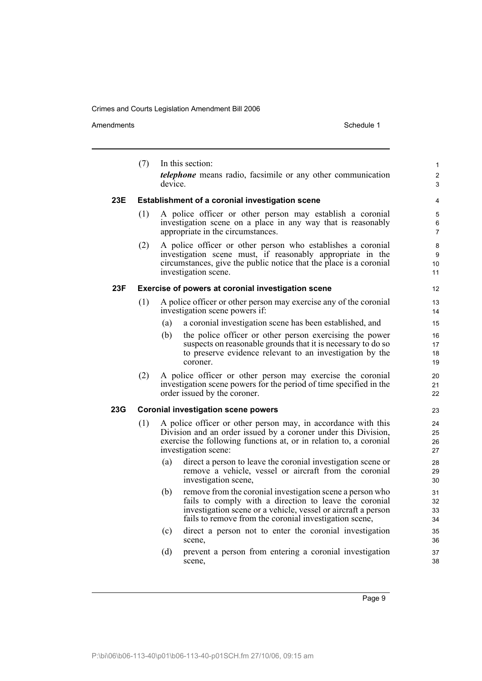Amendments Schedule 1

|     | (7) | device. | In this section:<br><i>telephone</i> means radio, facsimile or any other communication                                                                                                                                                         | 1<br>$\overline{2}$<br>3 |
|-----|-----|---------|------------------------------------------------------------------------------------------------------------------------------------------------------------------------------------------------------------------------------------------------|--------------------------|
| 23E |     |         | Establishment of a coronial investigation scene                                                                                                                                                                                                | 4                        |
|     | (1) |         | A police officer or other person may establish a coronial<br>investigation scene on a place in any way that is reasonably<br>appropriate in the circumstances.                                                                                 | 5<br>6<br>$\overline{7}$ |
|     | (2) |         | A police officer or other person who establishes a coronial<br>investigation scene must, if reasonably appropriate in the<br>circumstances, give the public notice that the place is a coronial<br>investigation scene.                        | 8<br>9<br>10<br>11       |
| 23F |     |         | Exercise of powers at coronial investigation scene                                                                                                                                                                                             | 12                       |
|     | (1) |         | A police officer or other person may exercise any of the coronial<br>investigation scene powers if:                                                                                                                                            | 13<br>14                 |
|     |     | (a)     | a coronial investigation scene has been established, and                                                                                                                                                                                       | 15                       |
|     |     | (b)     | the police officer or other person exercising the power<br>suspects on reasonable grounds that it is necessary to do so<br>to preserve evidence relevant to an investigation by the<br>coroner.                                                | 16<br>17<br>18<br>19     |
|     | (2) |         | A police officer or other person may exercise the coronial<br>investigation scene powers for the period of time specified in the<br>order issued by the coroner.                                                                               | 20<br>21<br>22           |
| 23G |     |         | <b>Coronial investigation scene powers</b>                                                                                                                                                                                                     | 23                       |
|     | (1) |         | A police officer or other person may, in accordance with this<br>Division and an order issued by a coroner under this Division,<br>exercise the following functions at, or in relation to, a coronial<br>investigation scene:                  | 24<br>25<br>26<br>27     |
|     |     | (a)     | direct a person to leave the coronial investigation scene or<br>remove a vehicle, vessel or aircraft from the coronial<br>investigation scene,                                                                                                 | 28<br>29<br>30           |
|     |     | (b)     | remove from the coronial investigation scene a person who<br>fails to comply with a direction to leave the coronial<br>investigation scene or a vehicle, vessel or aircraft a person<br>fails to remove from the coronial investigation scene, | 31<br>32<br>33<br>34     |
|     |     | (c)     | direct a person not to enter the coronial investigation<br>scene,                                                                                                                                                                              | 35<br>36                 |
|     |     | (d)     | prevent a person from entering a coronial investigation<br>scene,                                                                                                                                                                              | 37<br>38                 |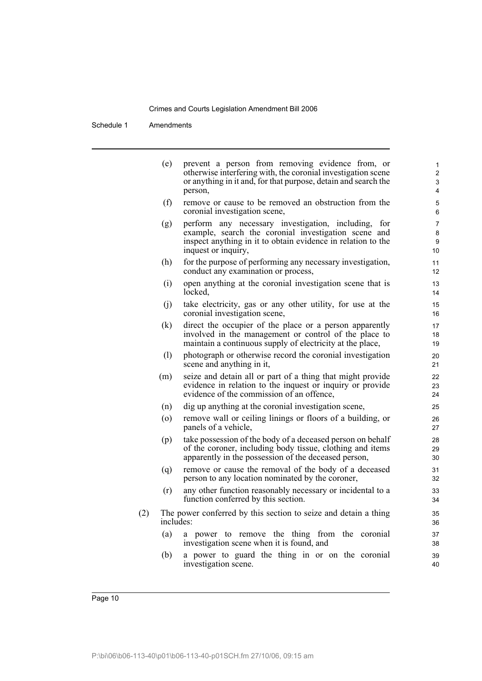|     | (e)       | prevent a person from removing evidence from, or<br>otherwise interfering with, the coronial investigation scene<br>or anything in it and, for that purpose, detain and search the<br>person,         | $\mathbf{1}$<br>$\overline{2}$<br>3<br>4 |
|-----|-----------|-------------------------------------------------------------------------------------------------------------------------------------------------------------------------------------------------------|------------------------------------------|
|     | (f)       | remove or cause to be removed an obstruction from the<br>coronial investigation scene,                                                                                                                | 5<br>6                                   |
|     | (g)       | perform any necessary investigation, including,<br>for<br>example, search the coronial investigation scene and<br>inspect anything in it to obtain evidence in relation to the<br>inquest or inquiry, | $\overline{7}$<br>8<br>9<br>10           |
|     | (h)       | for the purpose of performing any necessary investigation,<br>conduct any examination or process,                                                                                                     | 11<br>12                                 |
|     | (i)       | open anything at the coronial investigation scene that is<br>locked,                                                                                                                                  | 13<br>14                                 |
|     | (i)       | take electricity, gas or any other utility, for use at the<br>coronial investigation scene,                                                                                                           | 15<br>16                                 |
|     | (k)       | direct the occupier of the place or a person apparently<br>involved in the management or control of the place to<br>maintain a continuous supply of electricity at the place,                         | 17<br>18<br>19                           |
|     | (l)       | photograph or otherwise record the coronial investigation<br>scene and anything in it,                                                                                                                | 20<br>21                                 |
|     | (m)       | seize and detain all or part of a thing that might provide<br>evidence in relation to the inquest or inquiry or provide<br>evidence of the commission of an offence,                                  | 22<br>23<br>24                           |
|     | (n)       | dig up anything at the coronial investigation scene,                                                                                                                                                  | 25                                       |
|     | (0)       | remove wall or ceiling linings or floors of a building, or<br>panels of a vehicle,                                                                                                                    | 26<br>27                                 |
|     | (p)       | take possession of the body of a deceased person on behalf<br>of the coroner, including body tissue, clothing and items<br>apparently in the possession of the deceased person,                       | 28<br>29<br>30                           |
|     | (q)       | remove or cause the removal of the body of a deceased<br>person to any location nominated by the coroner,                                                                                             | 31<br>32                                 |
|     | (r)       | any other function reasonably necessary or incidental to a<br>function conferred by this section.                                                                                                     | 33<br>34                                 |
| (2) | includes: | The power conferred by this section to seize and detain a thing                                                                                                                                       | 35<br>36                                 |
|     | (a)       | a power to remove the thing from the coronial<br>investigation scene when it is found, and                                                                                                            | 37<br>38                                 |
|     | (b)       | a power to guard the thing in or on the coronial<br>investigation scene.                                                                                                                              | 39<br>40                                 |
|     |           |                                                                                                                                                                                                       |                                          |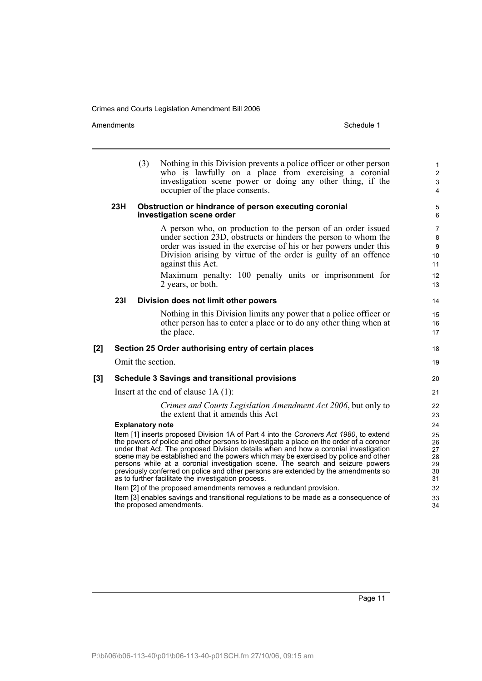Amendments Schedule 1

|          |            | (3)                     | Nothing in this Division prevents a police officer or other person<br>who is lawfully on a place from exercising a coronial<br>investigation scene power or doing any other thing, if the<br>occupier of the place consents.                                                                                                                                                                                                                                                                                                                                                                 | $\mathbf{1}$<br>$\overline{c}$<br>$\mathfrak{S}$<br>$\overline{4}$ |
|----------|------------|-------------------------|----------------------------------------------------------------------------------------------------------------------------------------------------------------------------------------------------------------------------------------------------------------------------------------------------------------------------------------------------------------------------------------------------------------------------------------------------------------------------------------------------------------------------------------------------------------------------------------------|--------------------------------------------------------------------|
|          | 23H        |                         | Obstruction or hindrance of person executing coronial<br>investigation scene order                                                                                                                                                                                                                                                                                                                                                                                                                                                                                                           | $\mathbf 5$<br>6                                                   |
|          |            |                         | A person who, on production to the person of an order issued<br>under section 23D, obstructs or hinders the person to whom the<br>order was issued in the exercise of his or her powers under this<br>Division arising by virtue of the order is guilty of an offence<br>against this Act.<br>Maximum penalty: 100 penalty units or imprisonment for<br>2 years, or both.                                                                                                                                                                                                                    | $\overline{7}$<br>8<br>$\boldsymbol{9}$<br>10<br>11<br>12<br>13    |
|          | <b>231</b> |                         | Division does not limit other powers                                                                                                                                                                                                                                                                                                                                                                                                                                                                                                                                                         | 14                                                                 |
|          |            |                         | Nothing in this Division limits any power that a police officer or<br>other person has to enter a place or to do any other thing when at<br>the place.                                                                                                                                                                                                                                                                                                                                                                                                                                       | 15<br>16<br>17                                                     |
| [2]      |            |                         | Section 25 Order authorising entry of certain places                                                                                                                                                                                                                                                                                                                                                                                                                                                                                                                                         | 18                                                                 |
|          |            | Omit the section.       |                                                                                                                                                                                                                                                                                                                                                                                                                                                                                                                                                                                              | 19                                                                 |
| $^{[3]}$ |            |                         | <b>Schedule 3 Savings and transitional provisions</b>                                                                                                                                                                                                                                                                                                                                                                                                                                                                                                                                        | 20                                                                 |
|          |            |                         | Insert at the end of clause $1A(1)$ :                                                                                                                                                                                                                                                                                                                                                                                                                                                                                                                                                        | 21                                                                 |
|          |            |                         | Crimes and Courts Legislation Amendment Act 2006, but only to<br>the extent that it amends this Act                                                                                                                                                                                                                                                                                                                                                                                                                                                                                          | 22<br>23                                                           |
|          |            | <b>Explanatory note</b> | Item [1] inserts proposed Division 1A of Part 4 into the Coroners Act 1980, to extend<br>the powers of police and other persons to investigate a place on the order of a coroner<br>under that Act. The proposed Division details when and how a coronial investigation<br>scene may be established and the powers which may be exercised by police and other<br>persons while at a coronial investigation scene. The search and seizure powers<br>previously conferred on police and other persons are extended by the amendments so<br>as to further facilitate the investigation process. | 24<br>25<br>26<br>27<br>28<br>29<br>30<br>31                       |
|          |            |                         | Item [2] of the proposed amendments removes a redundant provision.                                                                                                                                                                                                                                                                                                                                                                                                                                                                                                                           | 32                                                                 |

Item [3] enables savings and transitional regulations to be made as a consequence of

Page 11

33 34

the proposed amendments.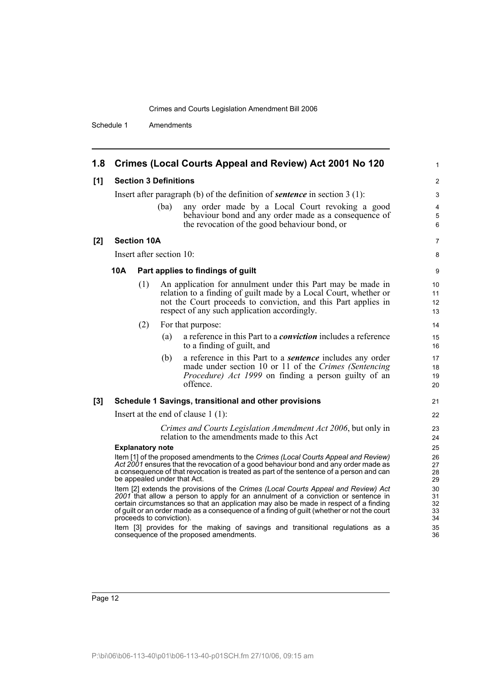| 1.8 |     |                         |                              | Crimes (Local Courts Appeal and Review) Act 2001 No 120                                                                                                                                                                                                                                                                                                        | 1                          |
|-----|-----|-------------------------|------------------------------|----------------------------------------------------------------------------------------------------------------------------------------------------------------------------------------------------------------------------------------------------------------------------------------------------------------------------------------------------------------|----------------------------|
| [1] |     |                         | <b>Section 3 Definitions</b> |                                                                                                                                                                                                                                                                                                                                                                | $\overline{2}$             |
|     |     |                         |                              | Insert after paragraph (b) of the definition of <i>sentence</i> in section $3(1)$ :                                                                                                                                                                                                                                                                            | 3                          |
|     |     |                         | (ba)                         | any order made by a Local Court revoking a good<br>behaviour bond and any order made as a consequence of<br>the revocation of the good behaviour bond, or                                                                                                                                                                                                      | 4<br>$\mathbf 5$<br>6      |
| [2] |     | <b>Section 10A</b>      |                              |                                                                                                                                                                                                                                                                                                                                                                | $\overline{7}$             |
|     |     |                         | Insert after section 10:     |                                                                                                                                                                                                                                                                                                                                                                | 8                          |
|     | 10A |                         |                              | Part applies to findings of guilt                                                                                                                                                                                                                                                                                                                              | 9                          |
|     |     | (1)                     |                              | An application for annulment under this Part may be made in<br>relation to a finding of guilt made by a Local Court, whether or<br>not the Court proceeds to conviction, and this Part applies in<br>respect of any such application accordingly.                                                                                                              | 10<br>11<br>12<br>13       |
|     |     | (2)                     |                              | For that purpose:                                                                                                                                                                                                                                                                                                                                              | 14                         |
|     |     |                         | (a)                          | a reference in this Part to a <i>conviction</i> includes a reference<br>to a finding of guilt, and                                                                                                                                                                                                                                                             | 15<br>16                   |
|     |     |                         | (b)                          | a reference in this Part to a <b>sentence</b> includes any order<br>made under section 10 or 11 of the Crimes (Sentencing<br><i>Procedure) Act 1999</i> on finding a person guilty of an<br>offence.                                                                                                                                                           | 17<br>18<br>19<br>20       |
| [3] |     |                         |                              | Schedule 1 Savings, transitional and other provisions                                                                                                                                                                                                                                                                                                          | 21                         |
|     |     |                         |                              | Insert at the end of clause $1(1)$ :                                                                                                                                                                                                                                                                                                                           | 22                         |
|     |     | <b>Explanatory note</b> |                              | Crimes and Courts Legislation Amendment Act 2006, but only in<br>relation to the amendments made to this Act                                                                                                                                                                                                                                                   | 23<br>24<br>25             |
|     |     |                         |                              | Item [1] of the proposed amendments to the Crimes (Local Courts Appeal and Review)<br>Act 2001 ensures that the revocation of a good behaviour bond and any order made as<br>a consequence of that revocation is treated as part of the sentence of a person and can<br>be appealed under that Act.                                                            | 26<br>27<br>28<br>29       |
|     |     |                         | proceeds to conviction).     | Item [2] extends the provisions of the Crimes (Local Courts Appeal and Review) Act<br>2001 that allow a person to apply for an annulment of a conviction or sentence in<br>certain circumstances so that an application may also be made in respect of a finding<br>of guilt or an order made as a consequence of a finding of guilt (whether or not the court | 30<br>31<br>32<br>33<br>34 |
|     |     |                         |                              | Item [3] provides for the making of savings and transitional regulations as a<br>consequence of the proposed amendments.                                                                                                                                                                                                                                       | 35<br>36                   |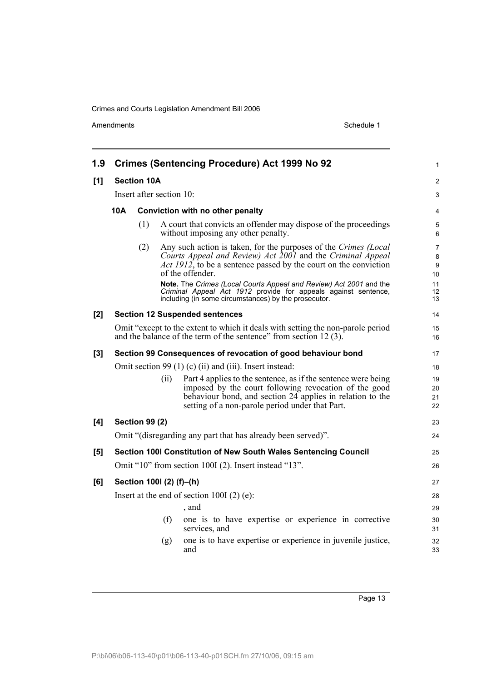Amendments Schedule 1

| 1.9   |                    |                          |      | Crimes (Sentencing Procedure) Act 1999 No 92                                                                                                                                                                                           | 1                    |  |  |
|-------|--------------------|--------------------------|------|----------------------------------------------------------------------------------------------------------------------------------------------------------------------------------------------------------------------------------------|----------------------|--|--|
| [1]   | <b>Section 10A</b> |                          |      |                                                                                                                                                                                                                                        |                      |  |  |
|       |                    | Insert after section 10: |      |                                                                                                                                                                                                                                        |                      |  |  |
|       | 10A                |                          |      | Conviction with no other penalty                                                                                                                                                                                                       | 4                    |  |  |
|       |                    | (1)                      |      | A court that convicts an offender may dispose of the proceedings<br>without imposing any other penalty.                                                                                                                                | 5<br>6               |  |  |
|       |                    | (2)                      |      | Any such action is taken, for the purposes of the Crimes (Local<br>Courts Appeal and Review) Act 2001 and the Criminal Appeal<br>Act 1912, to be a sentence passed by the court on the conviction<br>of the offender.                  | 7<br>8<br>9<br>10    |  |  |
|       |                    |                          |      | Note. The Crimes (Local Courts Appeal and Review) Act 2001 and the<br>Criminal Appeal Act 1912 provide for appeals against sentence,<br>including (in some circumstances) by the prosecutor.                                           | 11<br>12<br>13       |  |  |
| [2]   |                    |                          |      | <b>Section 12 Suspended sentences</b>                                                                                                                                                                                                  | 14                   |  |  |
|       |                    |                          |      | Omit "except to the extent to which it deals with setting the non-parole period<br>and the balance of the term of the sentence" from section 12(3).                                                                                    | 15<br>16             |  |  |
| $[3]$ |                    |                          |      | Section 99 Consequences of revocation of good behaviour bond                                                                                                                                                                           | 17                   |  |  |
|       |                    |                          |      | Omit section 99 (1) (c) (ii) and (iii). Insert instead:                                                                                                                                                                                | 18                   |  |  |
|       |                    |                          | (ii) | Part 4 applies to the sentence, as if the sentence were being<br>imposed by the court following revocation of the good<br>behaviour bond, and section 24 applies in relation to the<br>setting of a non-parole period under that Part. | 19<br>20<br>21<br>22 |  |  |
| [4]   |                    | <b>Section 99 (2)</b>    |      |                                                                                                                                                                                                                                        | 23                   |  |  |
|       |                    |                          |      | Omit "(disregarding any part that has already been served)".                                                                                                                                                                           | 24                   |  |  |
| [5]   |                    |                          |      | Section 100I Constitution of New South Wales Sentencing Council                                                                                                                                                                        | 25                   |  |  |
|       |                    |                          |      | Omit "10" from section 100I (2). Insert instead "13".                                                                                                                                                                                  | 26                   |  |  |
| [6]   |                    | Section 1001 (2) (f)-(h) |      |                                                                                                                                                                                                                                        | 27                   |  |  |
|       |                    |                          |      | Insert at the end of section 100I $(2)$ $(e)$ :                                                                                                                                                                                        | 28                   |  |  |
|       |                    |                          |      | , and                                                                                                                                                                                                                                  | 29                   |  |  |
|       |                    |                          | (f)  | one is to have expertise or experience in corrective<br>services, and                                                                                                                                                                  | 30<br>31             |  |  |
|       |                    |                          | (g)  | one is to have expertise or experience in juvenile justice,<br>and                                                                                                                                                                     | 32<br>33             |  |  |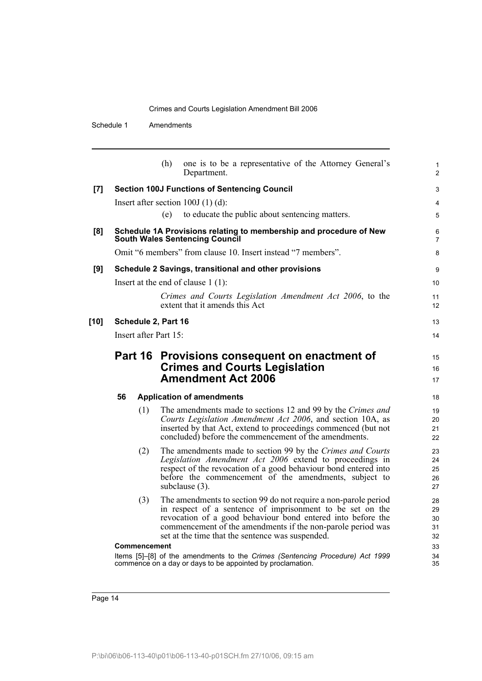|      |               |                       | (h) | one is to be a representative of the Attorney General's<br>Department.                                                                                                                                                                                                                                         | 1<br>2                     |
|------|---------------|-----------------------|-----|----------------------------------------------------------------------------------------------------------------------------------------------------------------------------------------------------------------------------------------------------------------------------------------------------------------|----------------------------|
| [7]  |               |                       |     | <b>Section 100J Functions of Sentencing Council</b>                                                                                                                                                                                                                                                            | 3                          |
|      |               |                       |     | Insert after section $100J(1)(d)$ :                                                                                                                                                                                                                                                                            | $\overline{4}$             |
|      |               |                       | (e) | to educate the public about sentencing matters.                                                                                                                                                                                                                                                                | 5                          |
| [8]  |               |                       |     | Schedule 1A Provisions relating to membership and procedure of New<br><b>South Wales Sentencing Council</b>                                                                                                                                                                                                    | 6<br>$\overline{7}$        |
|      |               |                       |     | Omit "6 members" from clause 10. Insert instead "7 members".                                                                                                                                                                                                                                                   | 8                          |
| [9]  |               |                       |     | Schedule 2 Savings, transitional and other provisions                                                                                                                                                                                                                                                          | 9                          |
|      |               |                       |     | Insert at the end of clause $1(1)$ :                                                                                                                                                                                                                                                                           | 10                         |
|      |               |                       |     | Crimes and Courts Legislation Amendment Act 2006, to the<br>extent that it amends this Act                                                                                                                                                                                                                     | 11<br>12                   |
| [10] |               | Schedule 2, Part 16   |     |                                                                                                                                                                                                                                                                                                                | 13                         |
|      |               | Insert after Part 15: |     |                                                                                                                                                                                                                                                                                                                | 14                         |
|      | Part 16<br>56 |                       |     | Provisions consequent on enactment of                                                                                                                                                                                                                                                                          | 15                         |
|      |               |                       |     | <b>Crimes and Courts Legislation</b><br><b>Amendment Act 2006</b>                                                                                                                                                                                                                                              | 16<br>17                   |
|      |               |                       |     | <b>Application of amendments</b>                                                                                                                                                                                                                                                                               | 18                         |
|      |               | (1)                   |     | The amendments made to sections 12 and 99 by the Crimes and<br>Courts Legislation Amendment Act 2006, and section 10A, as<br>inserted by that Act, extend to proceedings commenced (but not<br>concluded) before the commencement of the amendments.                                                           | 19<br>20<br>21<br>22       |
|      |               | (2)                   |     | The amendments made to section 99 by the Crimes and Courts<br>Legislation Amendment Act 2006 extend to proceedings in<br>respect of the revocation of a good behaviour bond entered into<br>before the commencement of the amendments, subject to<br>subclause $(3)$ .                                         | 23<br>24<br>25<br>26<br>27 |
|      |               | (3)                   |     | The amendments to section 99 do not require a non-parole period<br>in respect of a sentence of imprisonment to be set on the<br>revocation of a good behaviour bond entered into before the<br>commencement of the amendments if the non-parole period was<br>set at the time that the sentence was suspended. | 28<br>29<br>30<br>31<br>32 |
|      |               | Commencement          |     |                                                                                                                                                                                                                                                                                                                | 33                         |
|      |               |                       |     | Items [5]–[8] of the amendments to the Crimes (Sentencing Procedure) Act 1999<br>commence on a day or days to be appointed by proclamation.                                                                                                                                                                    | 34<br>35                   |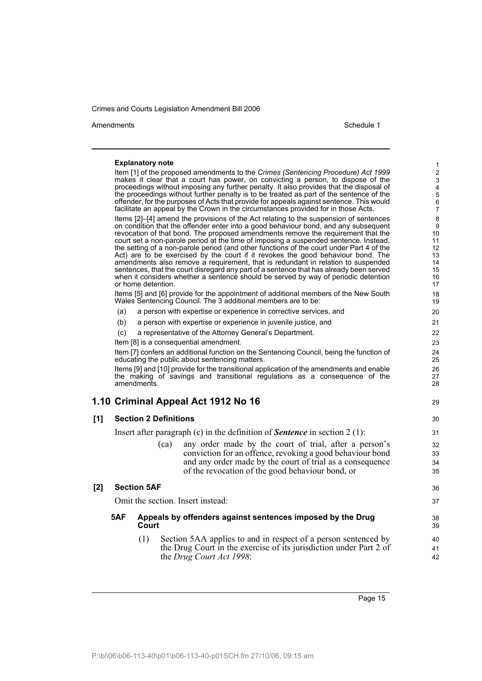Amendments Schedule 1

|     |     | <b>Explanatory note</b>      |      |                                                                                                                                                                                                                                                                                                                                                                                                                                                                                                                                                                                                                                                                                                                                                                                                               | 1                                                                                                |
|-----|-----|------------------------------|------|---------------------------------------------------------------------------------------------------------------------------------------------------------------------------------------------------------------------------------------------------------------------------------------------------------------------------------------------------------------------------------------------------------------------------------------------------------------------------------------------------------------------------------------------------------------------------------------------------------------------------------------------------------------------------------------------------------------------------------------------------------------------------------------------------------------|--------------------------------------------------------------------------------------------------|
|     |     |                              |      | Item [1] of the proposed amendments to the Crimes (Sentencing Procedure) Act 1999<br>makes it clear that a court has power, on convicting a person, to dispose of the<br>proceedings without imposing any further penalty. It also provides that the disposal of<br>the proceedings without further penalty is to be treated as part of the sentence of the<br>offender, for the purposes of Acts that provide for appeals against sentence. This would<br>facilitate an appeal by the Crown in the circumstances provided for in those Acts.                                                                                                                                                                                                                                                                 | $\overline{\mathbf{c}}$<br>3<br>$\overline{\mathbf{4}}$<br>$\overline{5}$<br>6<br>$\overline{7}$ |
|     |     | or home detention.           |      | Items [2]–[4] amend the provisions of the Act relating to the suspension of sentences<br>on condition that the offender enter into a good behaviour bond, and any subsequent<br>revocation of that bond. The proposed amendments remove the requirement that the<br>court set a non-parole period at the time of imposing a suspended sentence. Instead,<br>the setting of a non-parole period (and other functions of the court under Part 4 of the<br>Act) are to be exercised by the court if it revokes the good behaviour bond. The<br>amendments also remove a requirement, that is redundant in relation to suspended<br>sentences, that the court disregard any part of a sentence that has already been served<br>when it considers whether a sentence should be served by way of periodic detention | 8<br>9<br>10<br>11<br>12<br>13<br>14<br>15<br>16<br>17                                           |
|     |     |                              |      | Items [5] and [6] provide for the appointment of additional members of the New South<br>Wales Sentencing Council. The 3 additional members are to be:                                                                                                                                                                                                                                                                                                                                                                                                                                                                                                                                                                                                                                                         | 18<br>19                                                                                         |
|     | (a) |                              |      | a person with expertise or experience in corrective services, and                                                                                                                                                                                                                                                                                                                                                                                                                                                                                                                                                                                                                                                                                                                                             | 20                                                                                               |
|     | (b) |                              |      | a person with expertise or experience in juvenile justice, and                                                                                                                                                                                                                                                                                                                                                                                                                                                                                                                                                                                                                                                                                                                                                | 21                                                                                               |
|     | (c) |                              |      | a representative of the Attorney General's Department.                                                                                                                                                                                                                                                                                                                                                                                                                                                                                                                                                                                                                                                                                                                                                        | 22                                                                                               |
|     |     |                              |      | Item [8] is a consequential amendment.                                                                                                                                                                                                                                                                                                                                                                                                                                                                                                                                                                                                                                                                                                                                                                        | 23                                                                                               |
|     |     |                              |      | Item [7] confers an additional function on the Sentencing Council, being the function of<br>educating the public about sentencing matters.                                                                                                                                                                                                                                                                                                                                                                                                                                                                                                                                                                                                                                                                    | 24<br>25                                                                                         |
|     |     | amendments.                  |      | Items [9] and [10] provide for the transitional application of the amendments and enable<br>the making of savings and transitional regulations as a consequence of the                                                                                                                                                                                                                                                                                                                                                                                                                                                                                                                                                                                                                                        | 26<br>27<br>28                                                                                   |
|     |     |                              |      | 1.10 Criminal Appeal Act 1912 No 16                                                                                                                                                                                                                                                                                                                                                                                                                                                                                                                                                                                                                                                                                                                                                                           | 29                                                                                               |
| [1] |     | <b>Section 2 Definitions</b> |      |                                                                                                                                                                                                                                                                                                                                                                                                                                                                                                                                                                                                                                                                                                                                                                                                               | 30                                                                                               |
|     |     |                              |      | Insert after paragraph (c) in the definition of <b>Sentence</b> in section $2(1)$ :                                                                                                                                                                                                                                                                                                                                                                                                                                                                                                                                                                                                                                                                                                                           | 31                                                                                               |
|     |     |                              | (ca) | any order made by the court of trial, after a person's<br>conviction for an offence, revoking a good behaviour bond<br>and any order made by the court of trial as a consequence<br>of the revocation of the good behaviour bond, or                                                                                                                                                                                                                                                                                                                                                                                                                                                                                                                                                                          | 32<br>33<br>34<br>35                                                                             |
| [2] |     | <b>Section 5AF</b>           |      |                                                                                                                                                                                                                                                                                                                                                                                                                                                                                                                                                                                                                                                                                                                                                                                                               | 36                                                                                               |
|     |     |                              |      | Omit the section. Insert instead:                                                                                                                                                                                                                                                                                                                                                                                                                                                                                                                                                                                                                                                                                                                                                                             | 37                                                                                               |
|     | 5AF | Court                        |      | Appeals by offenders against sentences imposed by the Drug                                                                                                                                                                                                                                                                                                                                                                                                                                                                                                                                                                                                                                                                                                                                                    | 38<br>39                                                                                         |
|     |     | (1)                          |      | Section 5AA applies to and in respect of a person sentenced by<br>the Drug Court in the exercise of its jurisdiction under Part 2 of<br>the Drug Court Act 1998:                                                                                                                                                                                                                                                                                                                                                                                                                                                                                                                                                                                                                                              | 40<br>41<br>42                                                                                   |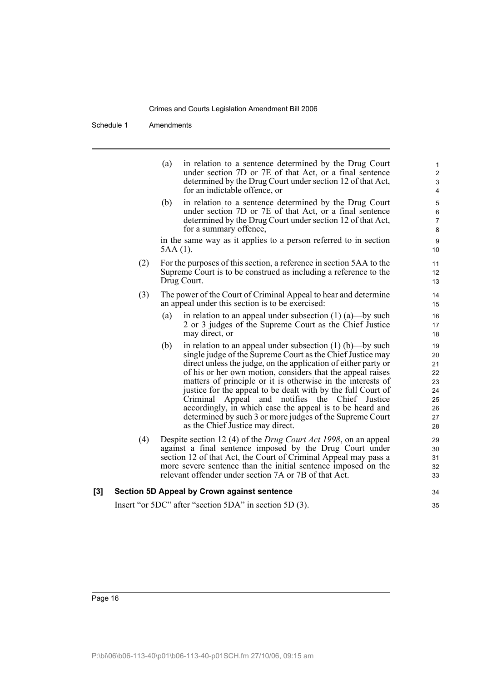|     |     | in relation to a sentence determined by the Drug Court<br>(a)<br>under section 7D or 7E of that Act, or a final sentence<br>determined by the Drug Court under section 12 of that Act,<br>for an indictable offence, or                                                                                                                                                                                                                                                                                                                                                                                       | $\mathbf{1}$<br>$\overline{c}$<br>$\ensuremath{\mathsf{3}}$<br>$\overline{4}$ |
|-----|-----|---------------------------------------------------------------------------------------------------------------------------------------------------------------------------------------------------------------------------------------------------------------------------------------------------------------------------------------------------------------------------------------------------------------------------------------------------------------------------------------------------------------------------------------------------------------------------------------------------------------|-------------------------------------------------------------------------------|
|     |     | in relation to a sentence determined by the Drug Court<br>(b)<br>under section 7D or 7E of that Act, or a final sentence<br>determined by the Drug Court under section 12 of that Act,<br>for a summary offence,                                                                                                                                                                                                                                                                                                                                                                                              | $\mathbf 5$<br>6<br>$\overline{7}$<br>8                                       |
|     |     | in the same way as it applies to a person referred to in section<br>5AA (1).                                                                                                                                                                                                                                                                                                                                                                                                                                                                                                                                  | $\boldsymbol{9}$<br>10                                                        |
|     | (2) | For the purposes of this section, a reference in section 5AA to the<br>Supreme Court is to be construed as including a reference to the<br>Drug Court.                                                                                                                                                                                                                                                                                                                                                                                                                                                        | 11<br>12<br>13                                                                |
|     | (3) | The power of the Court of Criminal Appeal to hear and determine<br>an appeal under this section is to be exercised:                                                                                                                                                                                                                                                                                                                                                                                                                                                                                           | 14<br>15                                                                      |
|     |     | (a)<br>in relation to an appeal under subsection $(1)$ $(a)$ —by such<br>2 or 3 judges of the Supreme Court as the Chief Justice<br>may direct, or                                                                                                                                                                                                                                                                                                                                                                                                                                                            | 16<br>17<br>18                                                                |
|     |     | (b)<br>in relation to an appeal under subsection $(1)$ (b)—by such<br>single judge of the Supreme Court as the Chief Justice may<br>direct unless the judge, on the application of either party or<br>of his or her own motion, considers that the appeal raises<br>matters of principle or it is otherwise in the interests of<br>justice for the appeal to be dealt with by the full Court of<br>Criminal Appeal and notifies the Chief Justice<br>accordingly, in which case the appeal is to be heard and<br>determined by such 3 or more judges of the Supreme Court<br>as the Chief Justice may direct. | 19<br>20<br>21<br>22<br>23<br>24<br>25<br>26<br>27<br>28                      |
|     | (4) | Despite section 12 (4) of the <i>Drug Court Act 1998</i> , on an appeal<br>against a final sentence imposed by the Drug Court under<br>section 12 of that Act, the Court of Criminal Appeal may pass a<br>more severe sentence than the initial sentence imposed on the<br>relevant offender under section 7A or 7B of that Act.                                                                                                                                                                                                                                                                              | 29<br>30<br>31<br>32<br>33                                                    |
| [3] |     | <b>Section 5D Appeal by Crown against sentence</b>                                                                                                                                                                                                                                                                                                                                                                                                                                                                                                                                                            | 34                                                                            |
|     |     | Insert "or 5DC" after "section 5DA" in section 5D (3).                                                                                                                                                                                                                                                                                                                                                                                                                                                                                                                                                        | 35                                                                            |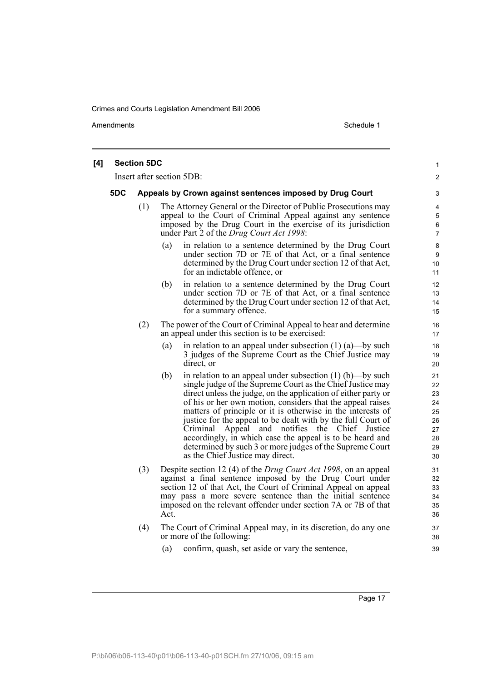Amendments Schedule 1

| [4] |  | <b>Section 5DC</b>                                                                           |                                                                                                                                                                                                                                                                                                                                                                                                                                                                                                                                                                                                               | 1                                                        |
|-----|--|----------------------------------------------------------------------------------------------|---------------------------------------------------------------------------------------------------------------------------------------------------------------------------------------------------------------------------------------------------------------------------------------------------------------------------------------------------------------------------------------------------------------------------------------------------------------------------------------------------------------------------------------------------------------------------------------------------------------|----------------------------------------------------------|
|     |  | Insert after section 5DB:<br>5DC<br>Appeals by Crown against sentences imposed by Drug Court |                                                                                                                                                                                                                                                                                                                                                                                                                                                                                                                                                                                                               |                                                          |
|     |  |                                                                                              |                                                                                                                                                                                                                                                                                                                                                                                                                                                                                                                                                                                                               |                                                          |
|     |  | (1)                                                                                          | The Attorney General or the Director of Public Prosecutions may<br>appeal to the Court of Criminal Appeal against any sentence<br>imposed by the Drug Court in the exercise of its jurisdiction<br>under Part 2 of the Drug Court Act 1998:                                                                                                                                                                                                                                                                                                                                                                   | 4<br>5<br>6<br>7                                         |
|     |  |                                                                                              | (a)<br>in relation to a sentence determined by the Drug Court<br>under section 7D or 7E of that Act, or a final sentence<br>determined by the Drug Court under section 12 of that Act,<br>for an indictable offence, or                                                                                                                                                                                                                                                                                                                                                                                       | 8<br>9<br>10<br>11                                       |
|     |  |                                                                                              | (b)<br>in relation to a sentence determined by the Drug Court<br>under section 7D or 7E of that Act, or a final sentence<br>determined by the Drug Court under section 12 of that Act,<br>for a summary offence.                                                                                                                                                                                                                                                                                                                                                                                              | 12<br>13<br>14<br>15                                     |
|     |  | (2)                                                                                          | The power of the Court of Criminal Appeal to hear and determine<br>an appeal under this section is to be exercised:                                                                                                                                                                                                                                                                                                                                                                                                                                                                                           | 16<br>17                                                 |
|     |  |                                                                                              | (a)<br>in relation to an appeal under subsection $(1)$ $(a)$ —by such<br>3 judges of the Supreme Court as the Chief Justice may<br>direct, or                                                                                                                                                                                                                                                                                                                                                                                                                                                                 | 18<br>19<br>20                                           |
|     |  |                                                                                              | (b)<br>in relation to an appeal under subsection $(1)$ (b)—by such<br>single judge of the Supreme Court as the Chief Justice may<br>direct unless the judge, on the application of either party or<br>of his or her own motion, considers that the appeal raises<br>matters of principle or it is otherwise in the interests of<br>justice for the appeal to be dealt with by the full Court of<br>Criminal Appeal and notifies the Chief Justice<br>accordingly, in which case the appeal is to be heard and<br>determined by such 3 or more judges of the Supreme Court<br>as the Chief Justice may direct. | 21<br>22<br>23<br>24<br>25<br>26<br>27<br>28<br>29<br>30 |
|     |  | (3)                                                                                          | Despite section 12 (4) of the <i>Drug Court Act 1998</i> , on an appeal<br>against a final sentence imposed by the Drug Court under<br>section 12 of that Act, the Court of Criminal Appeal on appeal<br>may pass a more severe sentence than the initial sentence<br>imposed on the relevant offender under section 7A or 7B of that<br>Act.                                                                                                                                                                                                                                                                 | 31<br>32<br>33<br>34<br>35<br>36                         |
|     |  | (4)                                                                                          | The Court of Criminal Appeal may, in its discretion, do any one<br>or more of the following:<br>confirm, quash, set aside or vary the sentence,<br>(a)                                                                                                                                                                                                                                                                                                                                                                                                                                                        | 37<br>38<br>39                                           |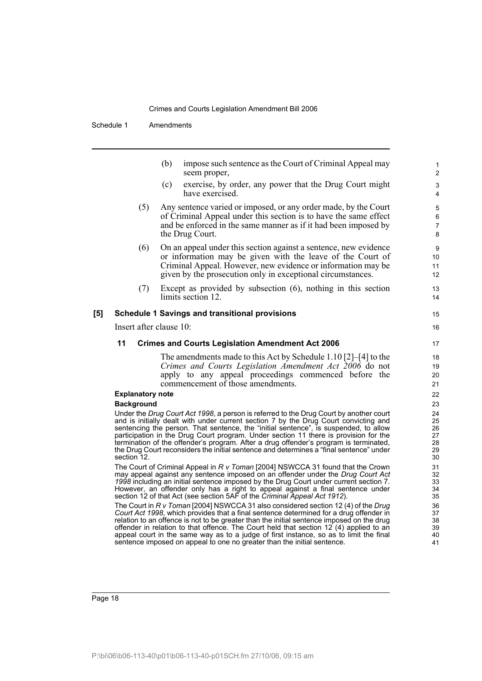Schedule 1 Amendments

(b) impose such sentence as the Court of Criminal Appeal may seem proper,

- (c) exercise, by order, any power that the Drug Court might have exercised.
- (5) Any sentence varied or imposed, or any order made, by the Court of Criminal Appeal under this section is to have the same effect and be enforced in the same manner as if it had been imposed by the Drug Court.
- (6) On an appeal under this section against a sentence, new evidence or information may be given with the leave of the Court of Criminal Appeal. However, new evidence or information may be given by the prosecution only in exceptional circumstances.
- (7) Except as provided by subsection (6), nothing in this section limits section 12.

#### **[5] Schedule 1 Savings and transitional provisions**

Insert after clause 10:

#### **11 Crimes and Courts Legislation Amendment Act 2006**

The amendments made to this Act by Schedule 1.10 [2]–[4] to the *Crimes and Courts Legislation Amendment Act 2006* do not apply to any appeal proceedings commenced before the commencement of those amendments.

#### **Explanatory note**

#### **Background**

Under the *Drug Court Act 1998*, a person is referred to the Drug Court by another court and is initially dealt with under current section 7 by the Drug Court convicting and sentencing the person. That sentence, the "initial sentence", is suspended, to allow participation in the Drug Court program. Under section 11 there is provision for the termination of the offender's program. After a drug offender's program is terminated, the Drug Court reconsiders the initial sentence and determines a "final sentence" under section 12.

The Court of Criminal Appeal in *R v Toman* [2004] NSWCCA 31 found that the Crown may appeal against any sentence imposed on an offender under the *Drug Court Act 1998* including an initial sentence imposed by the Drug Court under current section 7. However, an offender only has a right to appeal against a final sentence under section 12 of that Act (see section 5AF of the *Criminal Appeal Act 1912*).

The Court in *R v Toman* [2004] NSWCCA 31 also considered section 12 (4) of the *Drug Court Act 1998*, which provides that a final sentence determined for a drug offender in relation to an offence is not to be greater than the initial sentence imposed on the drug offender in relation to that offence. The Court held that section 12 (4) applied to an appeal court in the same way as to a judge of first instance, so as to limit the final sentence imposed on appeal to one no greater than the initial sentence.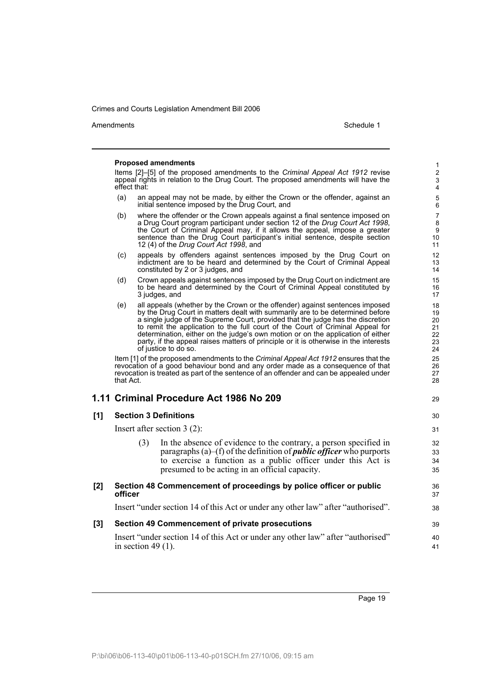Amendments **Amendments** Schedule 1

29

### **Proposed amendments**

Items [2]–[5] of the proposed amendments to the *Criminal Appeal Act 1912* revise appeal rights in relation to the Drug Court. The proposed amendments will have the effect that:

- (a) an appeal may not be made, by either the Crown or the offender, against an initial sentence imposed by the Drug Court, and
- (b) where the offender or the Crown appeals against a final sentence imposed on a Drug Court program participant under section 12 of the *Drug Court Act 1998*, the Court of Criminal Appeal may, if it allows the appeal, impose a greater sentence than the Drug Court participant's initial sentence, despite section 12 (4) of the *Drug Court Act 1998*, and
- (c) appeals by offenders against sentences imposed by the Drug Court on indictment are to be heard and determined by the Court of Criminal Appeal constituted by 2 or 3 judges, and
- (d) Crown appeals against sentences imposed by the Drug Court on indictment are to be heard and determined by the Court of Criminal Appeal constituted by 3 judges, and
- (e) all appeals (whether by the Crown or the offender) against sentences imposed by the Drug Court in matters dealt with summarily are to be determined before a single judge of the Supreme Court, provided that the judge has the discretion to remit the application to the full court of the Court of Criminal Appeal for determination, either on the judge's own motion or on the application of either party, if the appeal raises matters of principle or it is otherwise in the interests of justice to do so.

Item [1] of the proposed amendments to the *Criminal Appeal Act 1912* ensures that the revocation of a good behaviour bond and any order made as a consequence of that revocation is treated as part of the sentence of an offender and can be appealed under that Act.

### **1.11 Criminal Procedure Act 1986 No 209**

#### **[1] Section 3 Definitions**

Insert after section 3 (2):

In the absence of evidence to the contrary, a person specified in paragraphs (a)–(f) of the definition of *public officer* who purports to exercise a function as a public officer under this Act is presumed to be acting in an official capacity.

#### **[2] Section 48 Commencement of proceedings by police officer or public officer**

Insert "under section 14 of this Act or under any other law" after "authorised".

#### **[3] Section 49 Commencement of private prosecutions**

Insert "under section 14 of this Act or under any other law" after "authorised" in section 49 $(1)$ .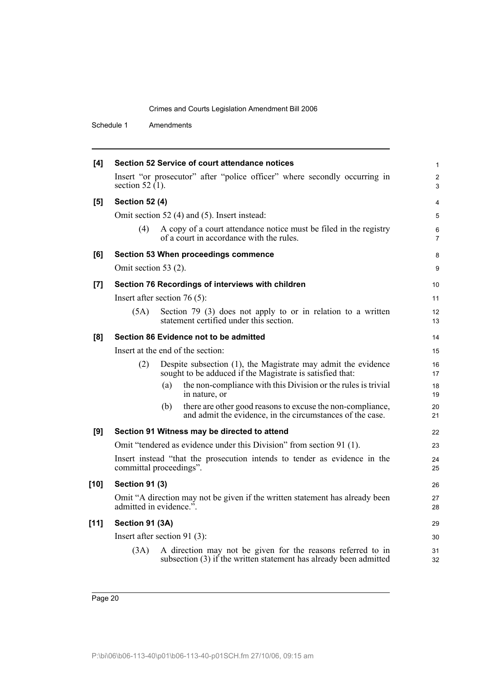| [4]    |                                 |     | Section 52 Service of court attendance notices                                                                                   | $\mathbf{1}$        |
|--------|---------------------------------|-----|----------------------------------------------------------------------------------------------------------------------------------|---------------------|
|        | section 52 $(1)$ .              |     | Insert "or prosecutor" after "police officer" where secondly occurring in                                                        | $\mathbf{2}$<br>3   |
| [5]    | <b>Section 52 (4)</b>           |     |                                                                                                                                  | $\overline{4}$      |
|        |                                 |     | Omit section 52 (4) and (5). Insert instead:                                                                                     | 5                   |
|        | (4)                             |     | A copy of a court attendance notice must be filed in the registry<br>of a court in accordance with the rules.                    | 6<br>$\overline{7}$ |
| [6]    |                                 |     | <b>Section 53 When proceedings commence</b>                                                                                      | 8                   |
|        | Omit section 53 (2).            |     |                                                                                                                                  | 9                   |
| [7]    |                                 |     | Section 76 Recordings of interviews with children                                                                                | 10                  |
|        | Insert after section $76(5)$ :  |     |                                                                                                                                  | 11                  |
|        | (5A)                            |     | Section 79 (3) does not apply to or in relation to a written<br>statement certified under this section.                          | 12<br>13            |
| [8]    |                                 |     | Section 86 Evidence not to be admitted                                                                                           | 14                  |
|        |                                 |     | Insert at the end of the section:                                                                                                | 15                  |
|        | (2)                             |     | Despite subsection (1), the Magistrate may admit the evidence<br>sought to be adduced if the Magistrate is satisfied that:       | 16<br>17            |
|        |                                 | (a) | the non-compliance with this Division or the rules is trivial<br>in nature, or                                                   | 18<br>19            |
|        |                                 | (b) | there are other good reasons to excuse the non-compliance,<br>and admit the evidence, in the circumstances of the case.          | 20<br>21            |
| [9]    |                                 |     | Section 91 Witness may be directed to attend                                                                                     | 22                  |
|        |                                 |     | Omit "tendered as evidence under this Division" from section 91 (1).                                                             | 23                  |
|        | committal proceedings".         |     | Insert instead "that the prosecution intends to tender as evidence in the                                                        | 24<br>25            |
| $[10]$ | <b>Section 91 (3)</b>           |     |                                                                                                                                  | 26                  |
|        | admitted in evidence.".         |     | Omit "A direction may not be given if the written statement has already been                                                     | 27<br>28            |
| [11]   | Section 91 (3A)                 |     |                                                                                                                                  | 29                  |
|        | Insert after section 91 $(3)$ : |     |                                                                                                                                  | 30                  |
|        | (3A)                            |     | A direction may not be given for the reasons referred to in<br>subsection (3) if the written statement has already been admitted | 31<br>32            |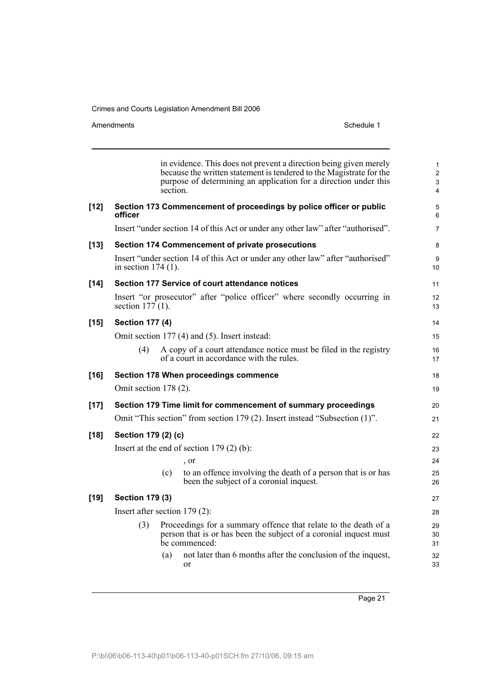### Amendments Schedule 1

|        | in evidence. This does not prevent a direction being given merely<br>because the written statement is tendered to the Magistrate for the<br>purpose of determining an application for a direction under this<br>section. | $\mathbf{1}$<br>$\mathbf 2$<br>3<br>$\overline{4}$ |
|--------|--------------------------------------------------------------------------------------------------------------------------------------------------------------------------------------------------------------------------|----------------------------------------------------|
| $[12]$ | Section 173 Commencement of proceedings by police officer or public<br>officer                                                                                                                                           | 5<br>6                                             |
|        | Insert "under section 14 of this Act or under any other law" after "authorised".                                                                                                                                         | $\overline{7}$                                     |
| $[13]$ | <b>Section 174 Commencement of private prosecutions</b>                                                                                                                                                                  | 8                                                  |
|        | Insert "under section 14 of this Act or under any other law" after "authorised"<br>in section $174(1)$ .                                                                                                                 | 9<br>10 <sup>°</sup>                               |
| $[14]$ | Section 177 Service of court attendance notices                                                                                                                                                                          | 11                                                 |
|        | Insert "or prosecutor" after "police officer" where secondly occurring in<br>section $177(1)$ .                                                                                                                          | 12<br>13                                           |
| $[15]$ | <b>Section 177 (4)</b>                                                                                                                                                                                                   | 14                                                 |
|        | Omit section 177 (4) and (5). Insert instead:                                                                                                                                                                            | 15                                                 |
|        | A copy of a court attendance notice must be filed in the registry<br>(4)<br>of a court in accordance with the rules.                                                                                                     | 16<br>17                                           |
| $[16]$ | Section 178 When proceedings commence                                                                                                                                                                                    | 18                                                 |
|        |                                                                                                                                                                                                                          |                                                    |
|        | Omit section $178(2)$ .                                                                                                                                                                                                  | 19                                                 |
| $[17]$ | Section 179 Time limit for commencement of summary proceedings                                                                                                                                                           | 20                                                 |
|        | Omit "This section" from section 179 (2). Insert instead "Subsection (1)".                                                                                                                                               | 21                                                 |
| $[18]$ | Section 179 (2) (c)                                                                                                                                                                                                      | 22                                                 |
|        | Insert at the end of section $179(2)$ (b):                                                                                                                                                                               | 23                                                 |
|        | $\cdot$ or                                                                                                                                                                                                               | 24                                                 |
|        | to an offence involving the death of a person that is or has<br>(c)<br>been the subject of a coronial inquest.                                                                                                           | 25<br>26                                           |
| $[19]$ | <b>Section 179 (3)</b>                                                                                                                                                                                                   | 27                                                 |
|        | Insert after section $179(2)$ :                                                                                                                                                                                          | 28                                                 |
|        | Proceedings for a summary offence that relate to the death of a<br>(3)<br>person that is or has been the subject of a coronial inquest must<br>be commenced:                                                             | 29<br>30<br>31                                     |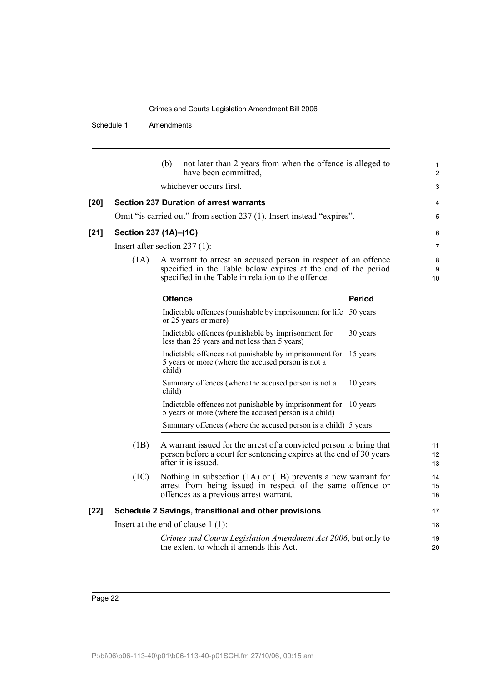|      |      | not later than 2 years from when the offence is alleged to<br>(b)<br>have been committed,                                                                                             | 2              |
|------|------|---------------------------------------------------------------------------------------------------------------------------------------------------------------------------------------|----------------|
|      |      | whichever occurs first.                                                                                                                                                               | 3              |
| [20] |      | <b>Section 237 Duration of arrest warrants</b>                                                                                                                                        | $\overline{4}$ |
|      |      | Omit "is carried out" from section 237 (1). Insert instead "expires".                                                                                                                 | 5              |
| [21] |      | Section 237 (1A)–(1C)                                                                                                                                                                 | 6              |
|      |      | Insert after section $237(1)$ :                                                                                                                                                       | 7              |
|      | (1A) | A warrant to arrest an accused person in respect of an offence<br>specified in the Table below expires at the end of the period<br>specified in the Table in relation to the offence. | 8<br>9<br>10   |

|      |      | <b>Offence</b>                                                                                                                                                            | <b>Period</b> |
|------|------|---------------------------------------------------------------------------------------------------------------------------------------------------------------------------|---------------|
|      |      | Indictable offences (punishable by imprisonment for life 50 years)<br>or 25 years or more)                                                                                |               |
|      |      | Indictable offences (punishable by imprisonment for<br>less than 25 years and not less than 5 years)                                                                      | 30 years      |
|      |      | Indictable offences not punishable by imprisonment for 15 years<br>5 years or more (where the accused person is not a<br>child)                                           |               |
|      |      | Summary offences (where the accused person is not a<br>child)                                                                                                             | 10 years      |
|      |      | Indictable offences not punishable by imprisonment for 10 years<br>5 years or more (where the accused person is a child)                                                  |               |
|      |      | Summary offences (where the accused person is a child) 5 years                                                                                                            |               |
|      | (1B) | A warrant issued for the arrest of a convicted person to bring that<br>person before a court for sentencing expires at the end of 30 years<br>after it is issued.         |               |
|      | (1C) | Nothing in subsection $(1A)$ or $(1B)$ prevents a new warrant for<br>arrest from being issued in respect of the same offence or<br>offences as a previous arrest warrant. |               |
| [22] |      | Schedule 2 Savings, transitional and other provisions                                                                                                                     |               |
|      |      | Insert at the end of clause $1(1)$ :                                                                                                                                      |               |
|      |      | <i>Crimes and Courts Legislation Amendment Act 2006, but only to</i><br>the extent to which it amends this Act.                                                           |               |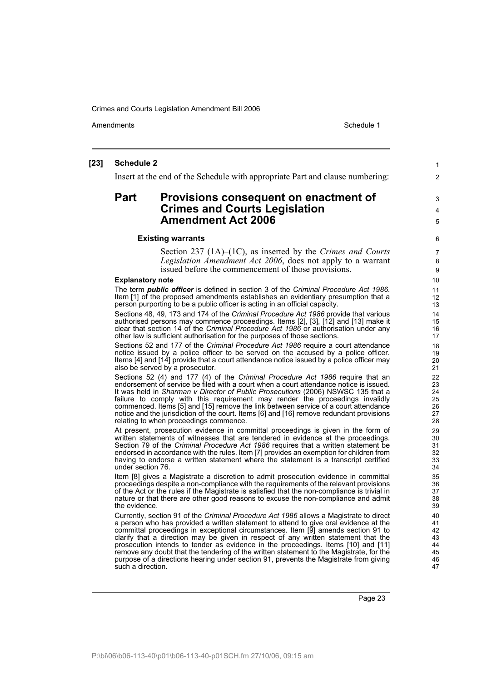Amendments **Amendments** Schedule 1

1  $\mathfrak{p}$ 

3 4 5

#### **[23] Schedule 2** Insert at the end of the Schedule with appropriate Part and clause numbering: **Part Provisions consequent on enactment of Crimes and Courts Legislation Amendment Act 2006 Existing warrants** Section 237 (1A)–(1C), as inserted by the *Crimes and Courts Legislation Amendment Act 2006*, does not apply to a warrant issued before the commencement of those provisions. **Explanatory note** The term *public officer* is defined in section 3 of the *Criminal Procedure Act 1986*. Item [1] of the proposed amendments establishes an evidentiary presumption that a person purporting to be a public officer is acting in an official capacity. Sections 48, 49, 173 and 174 of the *Criminal Procedure Act 1986* provide that various authorised persons may commence proceedings. Items [2], [3], [12] and [13] make it clear that section 14 of the *Criminal Procedure Act 1986* or authorisation under any other law is sufficient authorisation for the purposes of those sections. Sections 52 and 177 of the *Criminal Procedure Act 1986* require a court attendance notice issued by a police officer to be served on the accused by a police officer. Items [4] and [14] provide that a court attendance notice issued by a police officer may also be served by a prosecutor. Sections 52 (4) and 177 (4) of the *Criminal Procedure Act 1986* require that an endorsement of service be filed with a court when a court attendance notice is issued. It was held in *Sharman v Director of Public Prosecutions* (2006) NSWSC 135 that a failure to comply with this requirement may render the proceedings invalidly commenced. Items [5] and [15] remove the link between service of a court attendance notice and the jurisdiction of the court. Items [6] and [16] remove redundant provisions relating to when proceedings commence. At present, prosecution evidence in committal proceedings is given in the form of written statements of witnesses that are tendered in evidence at the proceedings. Section 79 of the *Criminal Procedure Act 1986* requires that a written statement be endorsed in accordance with the rules. Item [7] provides an exemption for children from having to endorse a written statement where the statement is a transcript certified under section 76. Item [8] gives a Magistrate a discretion to admit prosecution evidence in committal proceedings despite a non-compliance with the requirements of the relevant provisions of the Act or the rules if the Magistrate is satisfied that the non-compliance is trivial in nature or that there are other good reasons to excuse the non-compliance and admit the evidence. Currently, section 91 of the *Criminal Procedure Act 1986* allows a Magistrate to direct a person who has provided a written statement to attend to give oral evidence at the committal proceedings in exceptional circumstances. Item [9] amends section 91 to clarify that a direction may be given in respect of any written statement that the

prosecution intends to tender as evidence in the proceedings. Items [10] and [11] remove any doubt that the tendering of the written statement to the Magistrate, for the purpose of a directions hearing under section 91, prevents the Magistrate from giving

Page 23

such a direction.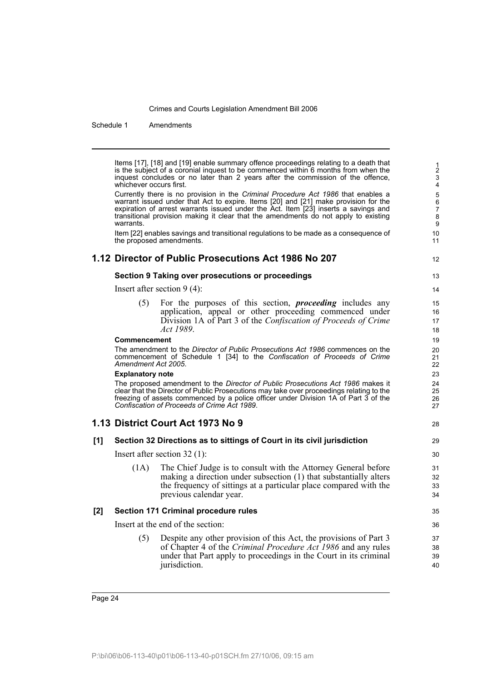Schedule 1 Amendments

Items [17], [18] and [19] enable summary offence proceedings relating to a death that is the subject of a coronial inquest to be commenced within 6 months from when the inquest concludes or no later than 2 years after the commission of the offence, whichever occurs first.

12

Currently there is no provision in the *Criminal Procedure Act 1986* that enables a warrant issued under that Act to expire. Items [20] and [21] make provision for the expiration of arrest warrants issued under the Act. Item [23] inserts a savings and transitional provision making it clear that the amendments do not apply to existing warrants.

Item [22] enables savings and transitional regulations to be made as a consequence of the proposed amendments.

### **1.12 Director of Public Prosecutions Act 1986 No 207**

#### **Section 9 Taking over prosecutions or proceedings**

Insert after section 9 (4):

(5) For the purposes of this section, *proceeding* includes any application, appeal or other proceeding commenced under Division 1A of Part 3 of the *Confiscation of Proceeds of Crime Act 1989*.

#### **Commencement**

The amendment to the *Director of Public Prosecutions Act 1986* commences on the commencement of Schedule 1 [34] to the *Confiscation of Proceeds of Crime Amendment Act 2005*.

#### **Explanatory note**

The proposed amendment to the *Director of Public Prosecutions Act 1986* makes it clear that the Director of Public Prosecutions may take over proceedings relating to the freezing of assets commenced by a police officer under Division 1A of Part 3 of the *Confiscation of Proceeds of Crime Act 1989*.

|       |      | 1.13 District Court Act 1973 No 9                                                                                                                                                                                                   | 28                   |
|-------|------|-------------------------------------------------------------------------------------------------------------------------------------------------------------------------------------------------------------------------------------|----------------------|
| [1]   |      | Section 32 Directions as to sittings of Court in its civil jurisdiction                                                                                                                                                             | 29                   |
|       |      | Insert after section $32$ (1):                                                                                                                                                                                                      | 30                   |
|       | (1A) | The Chief Judge is to consult with the Attorney General before<br>making a direction under subsection (1) that substantially alters<br>the frequency of sittings at a particular place compared with the<br>previous calendar year. | 31<br>32<br>33<br>34 |
| $[2]$ |      | <b>Section 171 Criminal procedure rules</b>                                                                                                                                                                                         | 35                   |
|       |      | Insert at the end of the section:                                                                                                                                                                                                   | 36                   |
|       | (5)  | Despite any other provision of this Act, the provisions of Part 3<br>of Chapter 4 of the Criminal Procedure Act 1986 and any rules<br>under that Part apply to proceedings in the Court in its criminal<br>jurisdiction.            | 37<br>38<br>39<br>40 |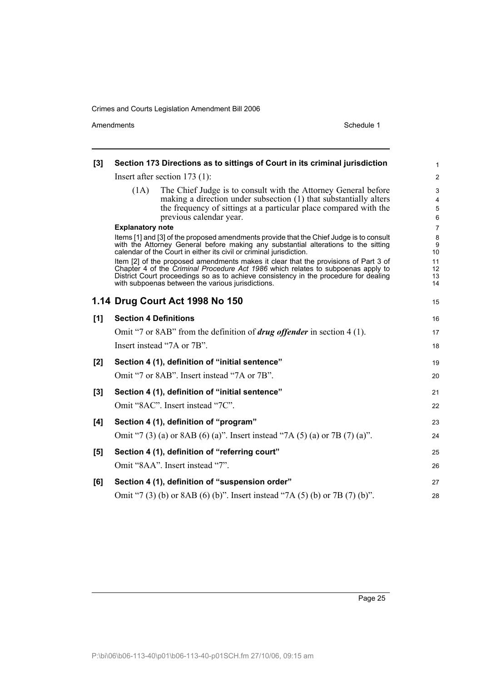Amendments Schedule 1

| $[3]$ |                         | Section 173 Directions as to sittings of Court in its criminal jurisdiction                                                                                                                                                                                                                                          | 1                                                    |
|-------|-------------------------|----------------------------------------------------------------------------------------------------------------------------------------------------------------------------------------------------------------------------------------------------------------------------------------------------------------------|------------------------------------------------------|
|       |                         | Insert after section $173$ (1):                                                                                                                                                                                                                                                                                      | $\overline{c}$                                       |
|       | (1A)                    | The Chief Judge is to consult with the Attorney General before<br>making a direction under subsection (1) that substantially alters<br>the frequency of sittings at a particular place compared with the<br>previous calendar year.                                                                                  | $\mathsf 3$<br>$\overline{\mathbf{4}}$<br>5<br>$\,6$ |
|       | <b>Explanatory note</b> |                                                                                                                                                                                                                                                                                                                      | $\overline{7}$                                       |
|       |                         | Items [1] and [3] of the proposed amendments provide that the Chief Judge is to consult<br>with the Attorney General before making any substantial alterations to the sitting<br>calendar of the Court in either its civil or criminal jurisdiction.                                                                 | 8<br>9<br>10                                         |
|       |                         | Item [2] of the proposed amendments makes it clear that the provisions of Part 3 of<br>Chapter 4 of the Criminal Procedure Act 1986 which relates to subpoenas apply to<br>District Court proceedings so as to achieve consistency in the procedure for dealing<br>with subpoenas between the various jurisdictions. | 11<br>12<br>13<br>14                                 |
|       |                         | 1.14 Drug Court Act 1998 No 150                                                                                                                                                                                                                                                                                      | 15                                                   |
| [1]   |                         | <b>Section 4 Definitions</b>                                                                                                                                                                                                                                                                                         | 16                                                   |
|       |                         | Omit "7 or 8AB" from the definition of <i>drug offender</i> in section 4 (1).                                                                                                                                                                                                                                        | 17                                                   |
|       |                         | Insert instead "7A or 7B".                                                                                                                                                                                                                                                                                           | 18                                                   |
| [2]   |                         | Section 4 (1), definition of "initial sentence"                                                                                                                                                                                                                                                                      | 19                                                   |
|       |                         | Omit "7 or 8AB". Insert instead "7A or 7B".                                                                                                                                                                                                                                                                          | 20                                                   |
| [3]   |                         | Section 4 (1), definition of "initial sentence"                                                                                                                                                                                                                                                                      | 21                                                   |
|       |                         | Omit "8AC". Insert instead "7C".                                                                                                                                                                                                                                                                                     | 22                                                   |
| [4]   |                         | Section 4 (1), definition of "program"                                                                                                                                                                                                                                                                               | 23                                                   |
|       |                         | Omit "7 (3) (a) or 8AB (6) (a)". Insert instead "7A (5) (a) or 7B (7) (a)".                                                                                                                                                                                                                                          | 24                                                   |
| [5]   |                         | Section 4 (1), definition of "referring court"                                                                                                                                                                                                                                                                       | 25                                                   |
|       |                         | Omit "8AA". Insert instead "7".                                                                                                                                                                                                                                                                                      | 26                                                   |
| [6]   |                         | Section 4 (1), definition of "suspension order"                                                                                                                                                                                                                                                                      | 27                                                   |
|       |                         | Omit "7 (3) (b) or 8AB (6) (b)". Insert instead "7A (5) (b) or 7B (7) (b)".                                                                                                                                                                                                                                          | 28                                                   |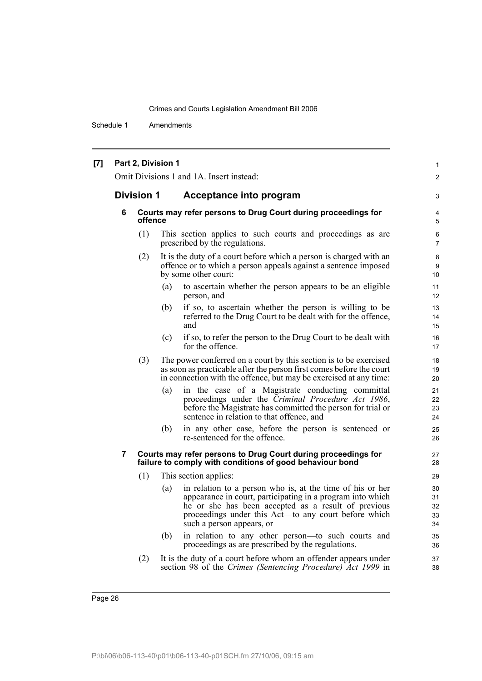1  $\mathfrak{p}$ 

3

Schedule 1 Amendments

#### **[7] Part 2, Division 1** Omit Divisions 1 and 1A. Insert instead: **Division 1 Acceptance into program 6 Courts may refer persons to Drug Court during proceedings for offence** (1) This section applies to such courts and proceedings as are prescribed by the regulations. (2) It is the duty of a court before which a person is charged with an offence or to which a person appeals against a sentence imposed by some other court: (a) to ascertain whether the person appears to be an eligible person, and (b) if so, to ascertain whether the person is willing to be referred to the Drug Court to be dealt with for the offence, and (c) if so, to refer the person to the Drug Court to be dealt with for the offence. (3) The power conferred on a court by this section is to be exercised as soon as practicable after the person first comes before the court in connection with the offence, but may be exercised at any time: (a) in the case of a Magistrate conducting committal proceedings under the *Criminal Procedure Act 1986*, before the Magistrate has committed the person for trial or sentence in relation to that offence, and (b) in any other case, before the person is sentenced or re-sentenced for the offence. **7 Courts may refer persons to Drug Court during proceedings for failure to comply with conditions of good behaviour bond** (1) This section applies: (a) in relation to a person who is, at the time of his or her appearance in court, participating in a program into which he or she has been accepted as a result of previous proceedings under this Act—to any court before which such a person appears, or (b) in relation to any other person—to such courts and proceedings as are prescribed by the regulations. (2) It is the duty of a court before whom an offender appears under section 98 of the *Crimes (Sentencing Procedure) Act 1999* in 10 11 12 13 14 15 16 17 18 19  $20$ 21 22 23 24 25 26 27 28 29 30 31 32 33 34 35 36 37 38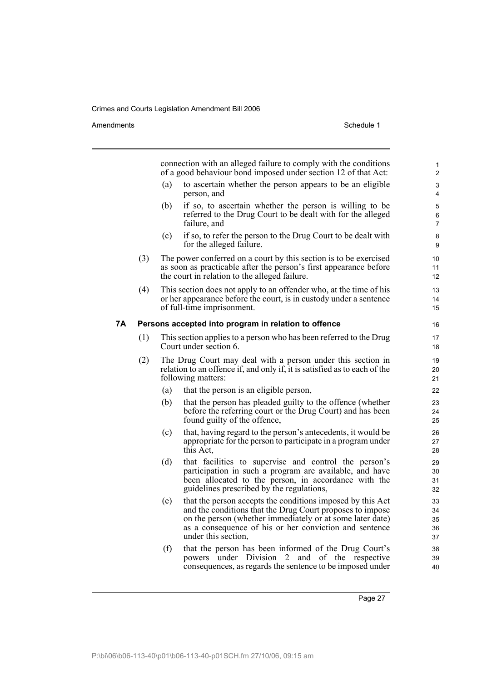Amendments **Amendments** Schedule 1

connection with an alleged failure to comply with the conditions of a good behaviour bond imposed under section 12 of that Act: (a) to ascertain whether the person appears to be an eligible person, and (b) if so, to ascertain whether the person is willing to be referred to the Drug Court to be dealt with for the alleged failure, and (c) if so, to refer the person to the Drug Court to be dealt with for the alleged failure. (3) The power conferred on a court by this section is to be exercised as soon as practicable after the person's first appearance before the court in relation to the alleged failure. (4) This section does not apply to an offender who, at the time of his or her appearance before the court, is in custody under a sentence of full-time imprisonment. **7A Persons accepted into program in relation to offence** (1) This section applies to a person who has been referred to the Drug Court under section 6. (2) The Drug Court may deal with a person under this section in relation to an offence if, and only if, it is satisfied as to each of the following matters: (a) that the person is an eligible person, (b) that the person has pleaded guilty to the offence (whether before the referring court or the Drug Court) and has been found guilty of the offence, (c) that, having regard to the person's antecedents, it would be appropriate for the person to participate in a program under this Act, (d) that facilities to supervise and control the person's participation in such a program are available, and have been allocated to the person, in accordance with the guidelines prescribed by the regulations, (e) that the person accepts the conditions imposed by this Act and the conditions that the Drug Court proposes to impose on the person (whether immediately or at some later date) as a consequence of his or her conviction and sentence under this section, (f) that the person has been informed of the Drug Court's powers under Division 2 and of the respective 1 2  $\overline{a}$ 4 5 6 7 8 9 10 11 12 13 14 15 16 17 18 19  $20$ 21 22 23 24 25  $26$ 27  $28$ 29 30 31 32 33 34 35 36 37 38 39

consequences, as regards the sentence to be imposed under

Page 27

40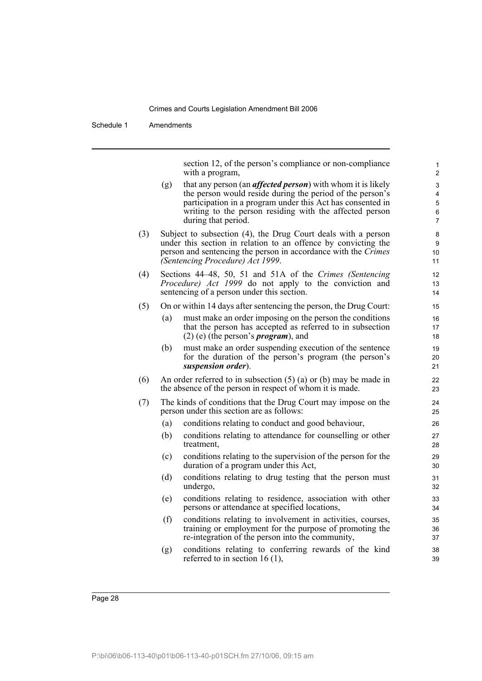Schedule 1 Amendments

section 12, of the person's compliance or non-compliance with a program,

- (g) that any person (an *affected person*) with whom it is likely the person would reside during the period of the person's participation in a program under this Act has consented in writing to the person residing with the affected person during that period.
- (3) Subject to subsection (4), the Drug Court deals with a person under this section in relation to an offence by convicting the person and sentencing the person in accordance with the *Crimes (Sentencing Procedure) Act 1999*.
- (4) Sections 44–48, 50, 51 and 51A of the *Crimes (Sentencing Procedure) Act 1999* do not apply to the conviction and sentencing of a person under this section.
- (5) On or within 14 days after sentencing the person, the Drug Court:
	- (a) must make an order imposing on the person the conditions that the person has accepted as referred to in subsection (2) (e) (the person's *program*), and
	- (b) must make an order suspending execution of the sentence for the duration of the person's program (the person's *suspension order*).
- (6) An order referred to in subsection (5) (a) or (b) may be made in the absence of the person in respect of whom it is made.
- (7) The kinds of conditions that the Drug Court may impose on the person under this section are as follows:
	- (a) conditions relating to conduct and good behaviour,
	- (b) conditions relating to attendance for counselling or other treatment,
	- (c) conditions relating to the supervision of the person for the duration of a program under this Act,
	- (d) conditions relating to drug testing that the person must undergo,
	- (e) conditions relating to residence, association with other persons or attendance at specified locations,
	- (f) conditions relating to involvement in activities, courses, training or employment for the purpose of promoting the re-integration of the person into the community,
	- (g) conditions relating to conferring rewards of the kind referred to in section 16 (1),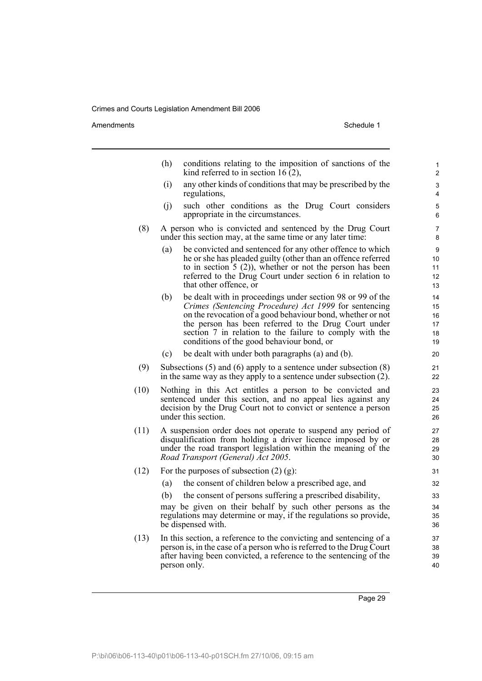Amendments Schedule 1

|      | (h) | conditions relating to the imposition of sanctions of the<br>kind referred to in section 16 $(2)$ ,                                                                                                                                                                                                                                               | $\mathbf{1}$<br>$\overline{\mathbf{c}}$ |
|------|-----|---------------------------------------------------------------------------------------------------------------------------------------------------------------------------------------------------------------------------------------------------------------------------------------------------------------------------------------------------|-----------------------------------------|
|      | (i) | any other kinds of conditions that may be prescribed by the<br>regulations,                                                                                                                                                                                                                                                                       | 3<br>4                                  |
|      | (j) | such other conditions as the Drug Court considers<br>appropriate in the circumstances.                                                                                                                                                                                                                                                            | 5<br>6                                  |
| (8)  |     | A person who is convicted and sentenced by the Drug Court<br>under this section may, at the same time or any later time:                                                                                                                                                                                                                          | 7<br>8                                  |
|      | (a) | be convicted and sentenced for any other offence to which<br>he or she has pleaded guilty (other than an offence referred<br>to in section $5(2)$ , whether or not the person has been<br>referred to the Drug Court under section 6 in relation to<br>that other offence, or                                                                     | 9<br>10<br>11<br>12<br>13               |
|      | (b) | be dealt with in proceedings under section 98 or 99 of the<br>Crimes (Sentencing Procedure) Act 1999 for sentencing<br>on the revocation of a good behaviour bond, whether or not<br>the person has been referred to the Drug Court under<br>section 7 in relation to the failure to comply with the<br>conditions of the good behaviour bond, or | 14<br>15<br>16<br>17<br>18<br>19        |
|      | (c) | be dealt with under both paragraphs (a) and (b).                                                                                                                                                                                                                                                                                                  | 20                                      |
| (9)  |     | Subsections $(5)$ and $(6)$ apply to a sentence under subsection $(8)$<br>in the same way as they apply to a sentence under subsection (2).                                                                                                                                                                                                       | 21<br>22                                |
| (10) |     | Nothing in this Act entitles a person to be convicted and<br>sentenced under this section, and no appeal lies against any<br>decision by the Drug Court not to convict or sentence a person<br>under this section.                                                                                                                                | 23<br>24<br>25<br>26                    |
| (11) |     | A suspension order does not operate to suspend any period of<br>disqualification from holding a driver licence imposed by or<br>under the road transport legislation within the meaning of the<br>Road Transport (General) Act 2005.                                                                                                              | 27<br>28<br>29<br>30                    |
| (12) |     | For the purposes of subsection $(2)$ $(g)$ :                                                                                                                                                                                                                                                                                                      | 31                                      |
|      | (a) | the consent of children below a prescribed age, and                                                                                                                                                                                                                                                                                               | 32                                      |
|      | (b) | the consent of persons suffering a prescribed disability,                                                                                                                                                                                                                                                                                         | 33                                      |
|      |     | may be given on their behalf by such other persons as the<br>regulations may determine or may, if the regulations so provide,<br>be dispensed with.                                                                                                                                                                                               | 34<br>35<br>36                          |
| (13) |     | In this section, a reference to the convicting and sentencing of a<br>person is, in the case of a person who is referred to the Drug Court<br>after having been convicted, a reference to the sentencing of the<br>person only.                                                                                                                   | 37<br>38<br>39<br>40                    |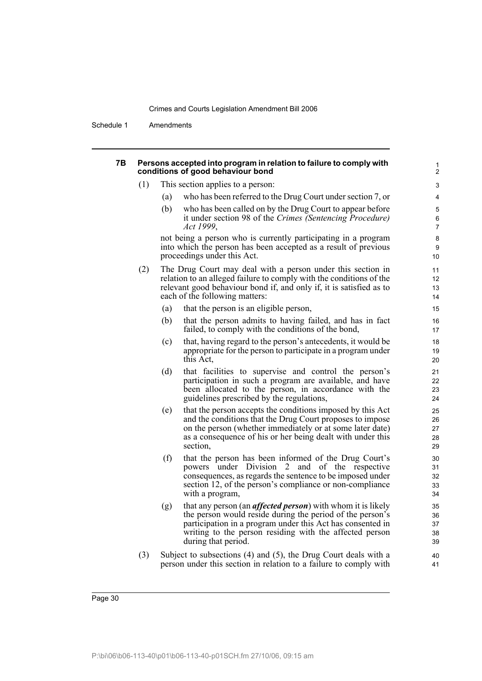Schedule 1 Amendments

### **7B Persons accepted into program in relation to failure to comply with conditions of good behaviour bond**

- (1) This section applies to a person:
	- (a) who has been referred to the Drug Court under section 7, or

(b) who has been called on by the Drug Court to appear before it under section 98 of the *Crimes (Sentencing Procedure) Act 1999*,

not being a person who is currently participating in a program into which the person has been accepted as a result of previous proceedings under this Act.

- (2) The Drug Court may deal with a person under this section in relation to an alleged failure to comply with the conditions of the relevant good behaviour bond if, and only if, it is satisfied as to each of the following matters:
	- (a) that the person is an eligible person,
	- (b) that the person admits to having failed, and has in fact failed, to comply with the conditions of the bond,
	- (c) that, having regard to the person's antecedents, it would be appropriate for the person to participate in a program under this Act,
	- (d) that facilities to supervise and control the person's participation in such a program are available, and have been allocated to the person, in accordance with the guidelines prescribed by the regulations,
	- (e) that the person accepts the conditions imposed by this Act and the conditions that the Drug Court proposes to impose on the person (whether immediately or at some later date) as a consequence of his or her being dealt with under this section,
	- (f) that the person has been informed of the Drug Court's powers under Division 2 and of the respective consequences, as regards the sentence to be imposed under section 12, of the person's compliance or non-compliance with a program,
	- (g) that any person (an *affected person*) with whom it is likely the person would reside during the period of the person's participation in a program under this Act has consented in writing to the person residing with the affected person during that period.
- (3) Subject to subsections (4) and (5), the Drug Court deals with a person under this section in relation to a failure to comply with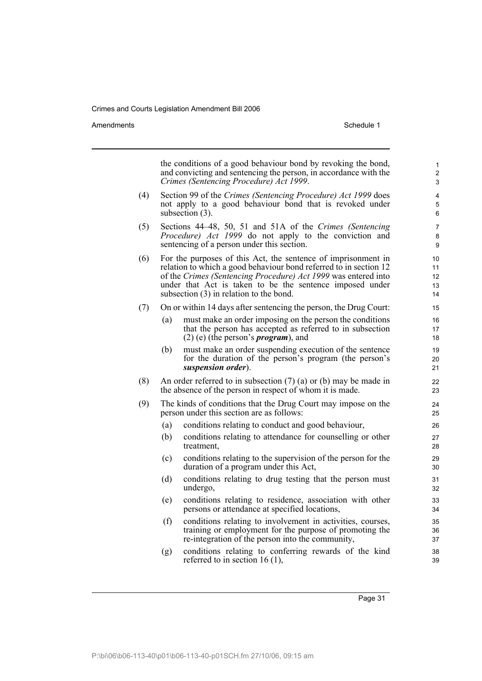Amendments Schedule 1

|     |     | the conditions of a good behaviour bond by revoking the bond,<br>and convicting and sentencing the person, in accordance with the<br>Crimes (Sentencing Procedure) Act 1999.                                                                                                                                  | 1<br>$\overline{2}$<br>3   |
|-----|-----|---------------------------------------------------------------------------------------------------------------------------------------------------------------------------------------------------------------------------------------------------------------------------------------------------------------|----------------------------|
| (4) |     | Section 99 of the Crimes (Sentencing Procedure) Act 1999 does<br>not apply to a good behaviour bond that is revoked under<br>subsection (3).                                                                                                                                                                  | $\overline{4}$<br>5<br>6   |
| (5) |     | Sections 44–48, 50, 51 and 51A of the Crimes (Sentencing<br>Procedure) Act 1999 do not apply to the conviction and<br>sentencing of a person under this section.                                                                                                                                              | 7<br>8<br>9                |
| (6) |     | For the purposes of this Act, the sentence of imprisonment in<br>relation to which a good behaviour bond referred to in section 12<br>of the Crimes (Sentencing Procedure) Act 1999 was entered into<br>under that Act is taken to be the sentence imposed under<br>subsection $(3)$ in relation to the bond. | 10<br>11<br>12<br>13<br>14 |
| (7) |     | On or within 14 days after sentencing the person, the Drug Court:                                                                                                                                                                                                                                             | 15                         |
|     | (a) | must make an order imposing on the person the conditions<br>that the person has accepted as referred to in subsection<br>$(2)$ (e) (the person's <i>program</i> ), and                                                                                                                                        | 16<br>17<br>18             |
|     | (b) | must make an order suspending execution of the sentence<br>for the duration of the person's program (the person's<br>suspension order).                                                                                                                                                                       | 19<br>20<br>21             |
| (8) |     | An order referred to in subsection $(7)$ (a) or (b) may be made in<br>the absence of the person in respect of whom it is made.                                                                                                                                                                                | 22<br>23                   |
| (9) |     | The kinds of conditions that the Drug Court may impose on the<br>person under this section are as follows:                                                                                                                                                                                                    | 24<br>25                   |
|     | (a) | conditions relating to conduct and good behaviour,                                                                                                                                                                                                                                                            | 26                         |
|     | (b) | conditions relating to attendance for counselling or other<br>treatment,                                                                                                                                                                                                                                      | 27<br>28                   |
|     | (c) | conditions relating to the supervision of the person for the<br>duration of a program under this Act,                                                                                                                                                                                                         | 29<br>30                   |
|     | (d) | conditions relating to drug testing that the person must<br>undergo,                                                                                                                                                                                                                                          | 31<br>32                   |
|     | (e) | conditions relating to residence, association with other<br>persons or attendance at specified locations,                                                                                                                                                                                                     | 33<br>34                   |
|     | (f) | conditions relating to involvement in activities, courses,<br>training or employment for the purpose of promoting the<br>re-integration of the person into the community,                                                                                                                                     | 35<br>36<br>37             |
|     | (g) | conditions relating to conferring rewards of the kind<br>referred to in section 16 $(1)$ ,                                                                                                                                                                                                                    | 38<br>39                   |
|     |     |                                                                                                                                                                                                                                                                                                               |                            |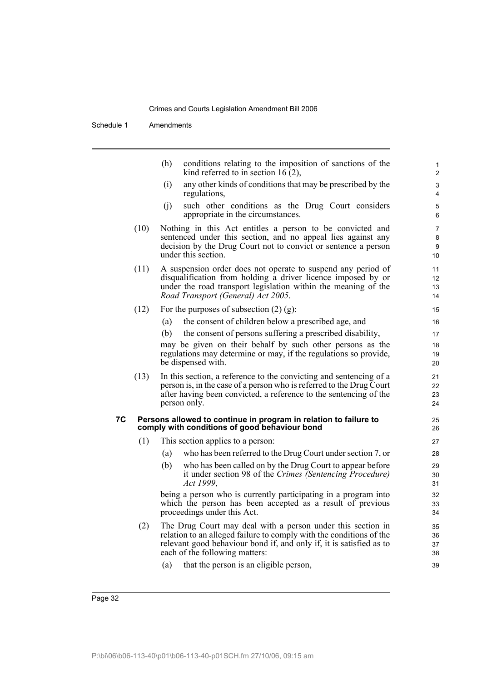|    |      | (h) | conditions relating to the imposition of sanctions of the<br>kind referred to in section 16 $(2)$ ,                                                                                                                                  | 1<br>$\mathbf{2}$    |
|----|------|-----|--------------------------------------------------------------------------------------------------------------------------------------------------------------------------------------------------------------------------------------|----------------------|
|    |      | (i) | any other kinds of conditions that may be prescribed by the<br>regulations,                                                                                                                                                          | 3<br>4               |
|    |      | (j) | such other conditions as the Drug Court considers<br>appropriate in the circumstances.                                                                                                                                               | 5<br>6               |
|    | (10) |     | Nothing in this Act entitles a person to be convicted and<br>sentenced under this section, and no appeal lies against any<br>decision by the Drug Court not to convict or sentence a person<br>under this section.                   | 7<br>8<br>9<br>10    |
|    | (11) |     | A suspension order does not operate to suspend any period of<br>disqualification from holding a driver licence imposed by or<br>under the road transport legislation within the meaning of the<br>Road Transport (General) Act 2005. | 11<br>12<br>13<br>14 |
|    | (12) |     | For the purposes of subsection $(2)$ $(g)$ :                                                                                                                                                                                         | 15                   |
|    |      | (a) | the consent of children below a prescribed age, and                                                                                                                                                                                  | 16                   |
|    |      | (b) | the consent of persons suffering a prescribed disability,                                                                                                                                                                            | 17                   |
|    |      |     | may be given on their behalf by such other persons as the<br>regulations may determine or may, if the regulations so provide,                                                                                                        | 18<br>19             |
|    |      |     | be dispensed with.                                                                                                                                                                                                                   | 20                   |
|    | (13) |     | In this section, a reference to the convicting and sentencing of a<br>person is, in the case of a person who is referred to the Drug Court<br>after having been convicted, a reference to the sentencing of the<br>person only.      | 21<br>22<br>23<br>24 |
| 7C |      |     | Persons allowed to continue in program in relation to failure to<br>comply with conditions of good behaviour bond                                                                                                                    | 25<br>26             |
|    | (1)  |     | This section applies to a person:                                                                                                                                                                                                    | 27                   |
|    |      | (a) | who has been referred to the Drug Court under section 7, or                                                                                                                                                                          | 28                   |
|    |      | (b) | who has been called on by the Drug Court to appear before                                                                                                                                                                            | 29                   |
|    |      |     | it under section 98 of the Crimes (Sentencing Procedure)<br>Act 1999,                                                                                                                                                                | 30<br>31             |
|    |      |     | being a person who is currently participating in a program into                                                                                                                                                                      | 32                   |
|    |      |     | which the person has been accepted as a result of previous<br>proceedings under this Act.                                                                                                                                            | 33<br>34             |
|    | (2)  |     | The Drug Court may deal with a person under this section in                                                                                                                                                                          | 35                   |
|    |      |     | relation to an alleged failure to comply with the conditions of the<br>relevant good behaviour bond if, and only if, it is satisfied as to                                                                                           | 36<br>37             |
|    |      |     | each of the following matters:                                                                                                                                                                                                       | 38                   |
|    |      | (a) | that the person is an eligible person,                                                                                                                                                                                               | 39                   |
|    |      |     |                                                                                                                                                                                                                                      |                      |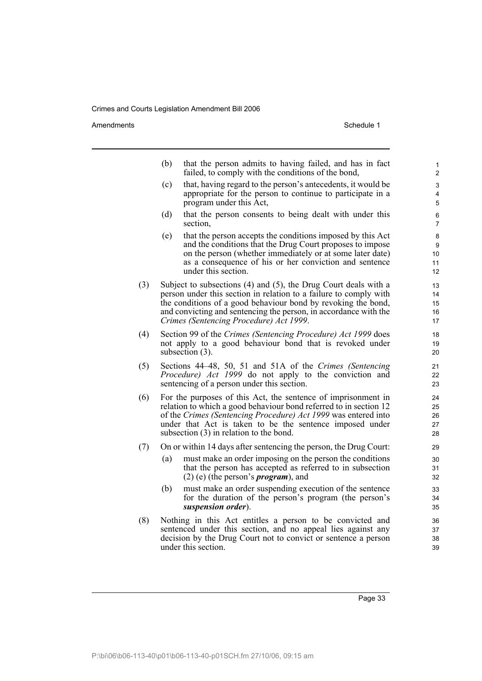Amendments **Amendments** Schedule 1

- (b) that the person admits to having failed, and has in fact failed, to comply with the conditions of the bond,
- (c) that, having regard to the person's antecedents, it would be appropriate for the person to continue to participate in a program under this Act,
- (d) that the person consents to being dealt with under this section,
- (e) that the person accepts the conditions imposed by this Act and the conditions that the Drug Court proposes to impose on the person (whether immediately or at some later date) as a consequence of his or her conviction and sentence under this section.
- (3) Subject to subsections (4) and (5), the Drug Court deals with a person under this section in relation to a failure to comply with the conditions of a good behaviour bond by revoking the bond, and convicting and sentencing the person, in accordance with the *Crimes (Sentencing Procedure) Act 1999*.
- (4) Section 99 of the *Crimes (Sentencing Procedure) Act 1999* does not apply to a good behaviour bond that is revoked under subsection (3).
- (5) Sections 44–48, 50, 51 and 51A of the *Crimes (Sentencing Procedure) Act 1999* do not apply to the conviction and sentencing of a person under this section.
- (6) For the purposes of this Act, the sentence of imprisonment in relation to which a good behaviour bond referred to in section 12 of the *Crimes (Sentencing Procedure) Act 1999* was entered into under that Act is taken to be the sentence imposed under subsection (3) in relation to the bond.
- (7) On or within 14 days after sentencing the person, the Drug Court:
	- (a) must make an order imposing on the person the conditions that the person has accepted as referred to in subsection (2) (e) (the person's *program*), and
	- (b) must make an order suspending execution of the sentence for the duration of the person's program (the person's *suspension order*).
- (8) Nothing in this Act entitles a person to be convicted and sentenced under this section, and no appeal lies against any decision by the Drug Court not to convict or sentence a person under this section.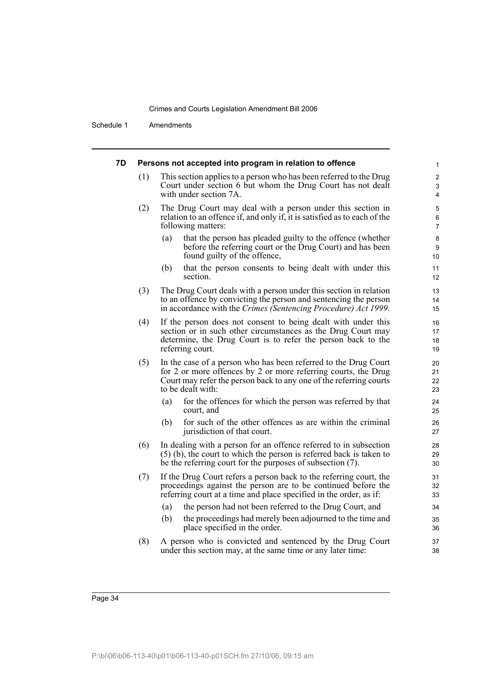| 7D  | Persons not accepted into program in relation to offence                                                                                                                                                                     | $\mathbf{1}$             |
|-----|------------------------------------------------------------------------------------------------------------------------------------------------------------------------------------------------------------------------------|--------------------------|
| (1) | This section applies to a person who has been referred to the Drug<br>Court under section 6 but whom the Drug Court has not dealt<br>with under section 7A.                                                                  | 2<br>3<br>4              |
| (2) | The Drug Court may deal with a person under this section in<br>relation to an offence if, and only if, it is satisfied as to each of the<br>following matters:                                                               | 5<br>6<br>$\overline{7}$ |
|     | that the person has pleaded guilty to the offence (whether<br>(a)<br>before the referring court or the Drug Court) and has been<br>found guilty of the offence,                                                              | 8<br>9<br>10             |
|     | that the person consents to being dealt with under this<br>(b)<br>section.                                                                                                                                                   | 11<br>12                 |
| (3) | The Drug Court deals with a person under this section in relation<br>to an offence by convicting the person and sentencing the person<br>in accordance with the Crimes (Sentencing Procedure) Act 1999.                      | 13<br>14<br>15           |
| (4) | If the person does not consent to being dealt with under this<br>section or in such other circumstances as the Drug Court may<br>determine, the Drug Court is to refer the person back to the<br>referring court.            | 16<br>17<br>18<br>19     |
| (5) | In the case of a person who has been referred to the Drug Court<br>for 2 or more offences by 2 or more referring courts, the Drug<br>Court may refer the person back to any one of the referring courts<br>to be dealt with: | 20<br>21<br>22<br>23     |
|     | for the offences for which the person was referred by that<br>(a)<br>court, and                                                                                                                                              | 24<br>25                 |
|     | for such of the other offences as are within the criminal<br>(b)<br>jurisdiction of that court.                                                                                                                              | 26<br>27                 |
| (6) | In dealing with a person for an offence referred to in subsection<br>$(5)$ (b), the court to which the person is referred back is taken to<br>be the referring court for the purposes of subsection (7).                     | 28<br>29<br>30           |
| (7) | If the Drug Court refers a person back to the referring court, the<br>proceedings against the person are to be continued before the<br>referring court at a time and place specified in the order, as if:                    | 31<br>32<br>33           |
|     | the person had not been referred to the Drug Court, and<br>(a)                                                                                                                                                               | 34                       |
|     | the proceedings had merely been adjourned to the time and<br>(b)<br>place specified in the order.                                                                                                                            | 35<br>36                 |
| (8) | A person who is convicted and sentenced by the Drug Court<br>under this section may, at the same time or any later time:                                                                                                     | 37<br>38                 |
|     |                                                                                                                                                                                                                              |                          |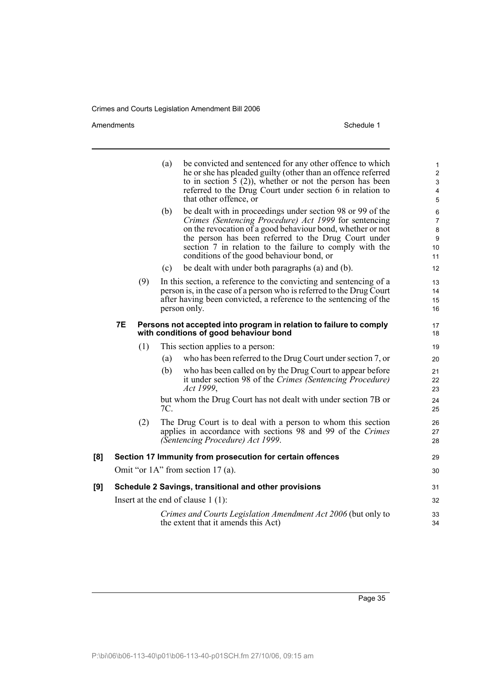Amendments Schedule 1

|     |           |     | (a)<br>(b) | be convicted and sentenced for any other offence to which<br>he or she has pleaded guilty (other than an offence referred<br>to in section $5(2)$ , whether or not the person has been<br>referred to the Drug Court under section 6 in relation to<br>that other offence, or<br>be dealt with in proceedings under section 98 or 99 of the<br>Crimes (Sentencing Procedure) Act 1999 for sentencing<br>on the revocation of a good behaviour bond, whether or not<br>the person has been referred to the Drug Court under<br>section 7 in relation to the failure to comply with the | 1<br>$\overline{2}$<br>3<br>$\overline{4}$<br>5<br>$\,6\,$<br>$\overline{7}$<br>8<br>9<br>10 |
|-----|-----------|-----|------------|---------------------------------------------------------------------------------------------------------------------------------------------------------------------------------------------------------------------------------------------------------------------------------------------------------------------------------------------------------------------------------------------------------------------------------------------------------------------------------------------------------------------------------------------------------------------------------------|----------------------------------------------------------------------------------------------|
|     |           |     |            | conditions of the good behaviour bond, or                                                                                                                                                                                                                                                                                                                                                                                                                                                                                                                                             | 11                                                                                           |
|     |           |     | (c)        | be dealt with under both paragraphs (a) and (b).                                                                                                                                                                                                                                                                                                                                                                                                                                                                                                                                      | 12                                                                                           |
|     |           | (9) |            | In this section, a reference to the convicting and sentencing of a<br>person is, in the case of a person who is referred to the Drug Court<br>after having been convicted, a reference to the sentencing of the<br>person only.                                                                                                                                                                                                                                                                                                                                                       | 13<br>14<br>15<br>16                                                                         |
|     | <b>7E</b> |     |            | Persons not accepted into program in relation to failure to comply<br>with conditions of good behaviour bond                                                                                                                                                                                                                                                                                                                                                                                                                                                                          | 17<br>18                                                                                     |
|     |           | (1) |            | This section applies to a person:                                                                                                                                                                                                                                                                                                                                                                                                                                                                                                                                                     | 19                                                                                           |
|     |           |     | (a)        | who has been referred to the Drug Court under section 7, or                                                                                                                                                                                                                                                                                                                                                                                                                                                                                                                           | 20                                                                                           |
|     |           |     | (b)        | who has been called on by the Drug Court to appear before<br>it under section 98 of the Crimes (Sentencing Procedure)<br>Act 1999,                                                                                                                                                                                                                                                                                                                                                                                                                                                    | 21<br>22<br>23                                                                               |
|     |           |     | 7C.        | but whom the Drug Court has not dealt with under section 7B or                                                                                                                                                                                                                                                                                                                                                                                                                                                                                                                        | 24<br>25                                                                                     |
|     |           | (2) |            | The Drug Court is to deal with a person to whom this section<br>applies in accordance with sections 98 and 99 of the Crimes<br>(Sentencing Procedure) Act 1999.                                                                                                                                                                                                                                                                                                                                                                                                                       | 26<br>27<br>28                                                                               |
| [8] |           |     |            | Section 17 Immunity from prosecution for certain offences                                                                                                                                                                                                                                                                                                                                                                                                                                                                                                                             | 29                                                                                           |
|     |           |     |            | Omit "or $1A$ " from section $17$ (a).                                                                                                                                                                                                                                                                                                                                                                                                                                                                                                                                                | 30                                                                                           |
| [9] |           |     |            | Schedule 2 Savings, transitional and other provisions                                                                                                                                                                                                                                                                                                                                                                                                                                                                                                                                 | 31                                                                                           |
|     |           |     |            | Insert at the end of clause $1(1)$ :                                                                                                                                                                                                                                                                                                                                                                                                                                                                                                                                                  | 32                                                                                           |
|     |           |     |            | Crimes and Courts Legislation Amendment Act 2006 (but only to<br>the extent that it amends this Act)                                                                                                                                                                                                                                                                                                                                                                                                                                                                                  | 33<br>34                                                                                     |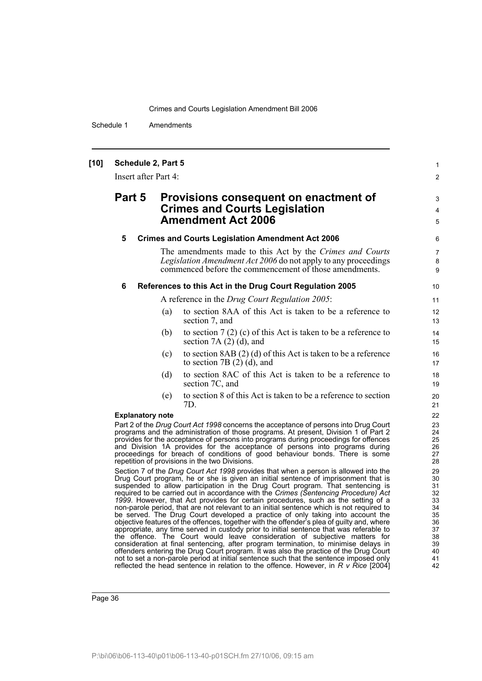41 42

Schedule 1 Amendments

| $[10]$ |        | Schedule 2, Part 5      |                                                                                                                                                                                                                                                                                                                                                                                                                                                                                                                                                                                                                                                                                                                                                                                                                                                                                                                                                                                                                                                                               | 1                                                                    |
|--------|--------|-------------------------|-------------------------------------------------------------------------------------------------------------------------------------------------------------------------------------------------------------------------------------------------------------------------------------------------------------------------------------------------------------------------------------------------------------------------------------------------------------------------------------------------------------------------------------------------------------------------------------------------------------------------------------------------------------------------------------------------------------------------------------------------------------------------------------------------------------------------------------------------------------------------------------------------------------------------------------------------------------------------------------------------------------------------------------------------------------------------------|----------------------------------------------------------------------|
|        |        | Insert after Part 4:    |                                                                                                                                                                                                                                                                                                                                                                                                                                                                                                                                                                                                                                                                                                                                                                                                                                                                                                                                                                                                                                                                               | $\overline{c}$                                                       |
|        | Part 5 |                         | Provisions consequent on enactment of<br><b>Crimes and Courts Legislation</b>                                                                                                                                                                                                                                                                                                                                                                                                                                                                                                                                                                                                                                                                                                                                                                                                                                                                                                                                                                                                 |                                                                      |
|        |        |                         | <b>Amendment Act 2006</b>                                                                                                                                                                                                                                                                                                                                                                                                                                                                                                                                                                                                                                                                                                                                                                                                                                                                                                                                                                                                                                                     | 5                                                                    |
|        | 5      |                         | <b>Crimes and Courts Legislation Amendment Act 2006</b>                                                                                                                                                                                                                                                                                                                                                                                                                                                                                                                                                                                                                                                                                                                                                                                                                                                                                                                                                                                                                       | 6                                                                    |
|        |        |                         | The amendments made to this Act by the Crimes and Courts<br>Legislation Amendment Act 2006 do not apply to any proceedings<br>commenced before the commencement of those amendments.                                                                                                                                                                                                                                                                                                                                                                                                                                                                                                                                                                                                                                                                                                                                                                                                                                                                                          | $\overline{7}$<br>8<br>9                                             |
|        | 6      |                         | References to this Act in the Drug Court Regulation 2005                                                                                                                                                                                                                                                                                                                                                                                                                                                                                                                                                                                                                                                                                                                                                                                                                                                                                                                                                                                                                      | 10                                                                   |
|        |        |                         | A reference in the Drug Court Regulation 2005:                                                                                                                                                                                                                                                                                                                                                                                                                                                                                                                                                                                                                                                                                                                                                                                                                                                                                                                                                                                                                                | 11                                                                   |
|        |        | (a)                     | to section 8AA of this Act is taken to be a reference to<br>section 7, and                                                                                                                                                                                                                                                                                                                                                                                                                                                                                                                                                                                                                                                                                                                                                                                                                                                                                                                                                                                                    | 12<br>13                                                             |
|        |        | (b)                     | to section $7(2)$ (c) of this Act is taken to be a reference to<br>section 7A $(2)$ $(d)$ , and                                                                                                                                                                                                                                                                                                                                                                                                                                                                                                                                                                                                                                                                                                                                                                                                                                                                                                                                                                               | 14<br>15                                                             |
|        |        | (c)                     | to section $8AB(2)(d)$ of this Act is taken to be a reference<br>to section $7B(2)$ (d), and                                                                                                                                                                                                                                                                                                                                                                                                                                                                                                                                                                                                                                                                                                                                                                                                                                                                                                                                                                                  | 16<br>17                                                             |
|        |        | (d)                     | to section 8AC of this Act is taken to be a reference to<br>section 7C, and                                                                                                                                                                                                                                                                                                                                                                                                                                                                                                                                                                                                                                                                                                                                                                                                                                                                                                                                                                                                   | 18<br>19                                                             |
|        |        | (e)                     | to section 8 of this Act is taken to be a reference to section<br>7D.                                                                                                                                                                                                                                                                                                                                                                                                                                                                                                                                                                                                                                                                                                                                                                                                                                                                                                                                                                                                         | 20<br>21                                                             |
|        |        | <b>Explanatory note</b> |                                                                                                                                                                                                                                                                                                                                                                                                                                                                                                                                                                                                                                                                                                                                                                                                                                                                                                                                                                                                                                                                               | 22                                                                   |
|        |        |                         | Part 2 of the Drug Court Act 1998 concerns the acceptance of persons into Drug Court<br>programs and the administration of those programs. At present, Division 1 of Part 2<br>provides for the acceptance of persons into programs during proceedings for offences<br>and Division 1A provides for the acceptance of persons into programs during<br>proceedings for breach of conditions of good behaviour bonds. There is some<br>repetition of provisions in the two Divisions.                                                                                                                                                                                                                                                                                                                                                                                                                                                                                                                                                                                           | 23<br>24<br>25<br>26<br>27<br>28                                     |
|        |        |                         | Section 7 of the Drug Court Act 1998 provides that when a person is allowed into the<br>Drug Court program, he or she is given an initial sentence of imprisonment that is<br>suspended to allow participation in the Drug Court program. That sentencing is<br>required to be carried out in accordance with the Crimes (Sentencing Procedure) Act<br>1999. However, that Act provides for certain procedures, such as the setting of a<br>non-parole period, that are not relevant to an initial sentence which is not required to<br>be served. The Drug Court developed a practice of only taking into account the<br>objective features of the offences, together with the offender's plea of guilty and, where<br>appropriate, any time served in custody prior to initial sentence that was referable to<br>the offence. The Court would leave consideration of subjective matters for<br>consideration at final sentencing, after program termination, to minimise delays in<br>offenders entering the Drug Court program. It was also the practice of the Drug Court | 29<br>30<br>31<br>32<br>33<br>34<br>35<br>36<br>37<br>38<br>39<br>40 |

not to set a non-parole period at initial sentence such that the sentence imposed only reflected the head sentence in relation to the offence. However, in *R v Rice* [2004]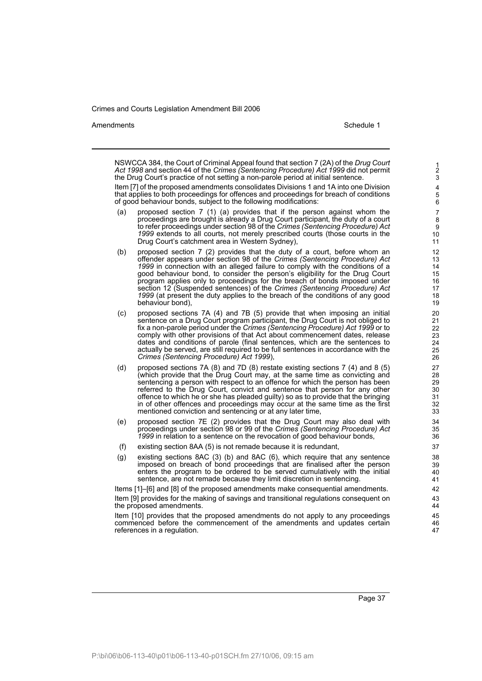Amendments **Amendments** Schedule 1

NSWCCA 384, the Court of Criminal Appeal found that section 7 (2A) of the *Drug Court Act 1998* and section 44 of the *Crimes (Sentencing Procedure) Act 1999* did not permit the Drug Court's practice of not setting a non-parole period at initial sentence.

Item [7] of the proposed amendments consolidates Divisions 1 and 1A into one Division that applies to both proceedings for offences and proceedings for breach of conditions of good behaviour bonds, subject to the following modifications:

- (a) proposed section 7 (1) (a) provides that if the person against whom the proceedings are brought is already a Drug Court participant, the duty of a court to refer proceedings under section 98 of the *Crimes (Sentencing Procedure) Act 1999* extends to all courts, not merely prescribed courts (those courts in the Drug Court's catchment area in Western Sydney),
- (b) proposed section 7 (2) provides that the duty of a court, before whom an offender appears under section 98 of the *Crimes (Sentencing Procedure) Act 1999* in connection with an alleged failure to comply with the conditions of a good behaviour bond, to consider the person's eligibility for the Drug Court program applies only to proceedings for the breach of bonds imposed under section 12 (Suspended sentences) of the *Crimes (Sentencing Procedure) Act 1999* (at present the duty applies to the breach of the conditions of any good behaviour bond),
- (c) proposed sections 7A (4) and 7B (5) provide that when imposing an initial sentence on a Drug Court program participant, the Drug Court is not obliged to fix a non-parole period under the *Crimes (Sentencing Procedure) Act 1999* or to comply with other provisions of that Act about commencement dates, release dates and conditions of parole (final sentences, which are the sentences to actually be served, are still required to be full sentences in accordance with the *Crimes (Sentencing Procedure) Act 1999*),
- (d) proposed sections 7A (8) and 7D (8) restate existing sections 7 (4) and 8 (5) (which provide that the Drug Court may, at the same time as convicting and sentencing a person with respect to an offence for which the person has been referred to the Drug Court, convict and sentence that person for any other offence to which he or she has pleaded guilty) so as to provide that the bringing in of other offences and proceedings may occur at the same time as the first mentioned conviction and sentencing or at any later time,
- (e) proposed section 7E (2) provides that the Drug Court may also deal with proceedings under section 98 or 99 of the *Crimes (Sentencing Procedure) Act 1999* in relation to a sentence on the revocation of good behaviour bonds,
- (f) existing section 8AA (5) is not remade because it is redundant,
- (g) existing sections 8AC (3) (b) and 8AC (6), which require that any sentence imposed on breach of bond proceedings that are finalised after the person enters the program to be ordered to be served cumulatively with the initial sentence, are not remade because they limit discretion in sentencing.

Items [1]–[6] and [8] of the proposed amendments make consequential amendments. Item [9] provides for the making of savings and transitional regulations consequent on the proposed amendments.

Item [10] provides that the proposed amendments do not apply to any proceedings commenced before the commencement of the amendments and updates certain references in a regulation.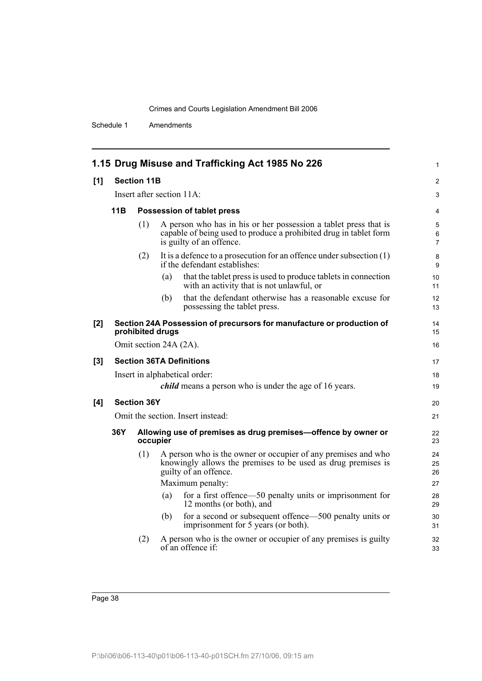|     |                    |                                   | 1.15 Drug Misuse and Trafficking Act 1985 No 226                                                                                                                  | 1                        |  |  |
|-----|--------------------|-----------------------------------|-------------------------------------------------------------------------------------------------------------------------------------------------------------------|--------------------------|--|--|
| [1] | <b>Section 11B</b> |                                   |                                                                                                                                                                   |                          |  |  |
|     |                    | Insert after section 11A:         |                                                                                                                                                                   |                          |  |  |
|     | 11B                | <b>Possession of tablet press</b> |                                                                                                                                                                   |                          |  |  |
|     |                    | (1)                               | A person who has in his or her possession a tablet press that is<br>capable of being used to produce a prohibited drug in tablet form<br>is guilty of an offence. | 5<br>6<br>$\overline{7}$ |  |  |
|     |                    | (2)                               | It is a defence to a prosecution for an offence under subsection $(1)$<br>if the defendant establishes:                                                           | 8<br>9                   |  |  |
|     |                    |                                   | that the tablet press is used to produce tablets in connection<br>(a)<br>with an activity that is not unlawful, or                                                | 10<br>11                 |  |  |
|     |                    |                                   | that the defendant otherwise has a reasonable excuse for<br>(b)<br>possessing the tablet press.                                                                   | 12<br>13                 |  |  |
| [2] |                    | prohibited drugs                  | Section 24A Possession of precursors for manufacture or production of                                                                                             | 14<br>15                 |  |  |
|     |                    |                                   | Omit section 24A (2A).                                                                                                                                            | 16                       |  |  |
| [3] |                    |                                   | <b>Section 36TA Definitions</b>                                                                                                                                   | 17                       |  |  |
|     |                    |                                   | Insert in alphabetical order:                                                                                                                                     | 18                       |  |  |
|     |                    |                                   | <i>child</i> means a person who is under the age of 16 years.                                                                                                     | 19                       |  |  |
| [4] |                    | <b>Section 36Y</b>                |                                                                                                                                                                   | 20                       |  |  |
|     |                    |                                   | Omit the section. Insert instead:                                                                                                                                 | 21                       |  |  |
|     | 36Y                | occupier                          | Allowing use of premises as drug premises-offence by owner or                                                                                                     | 22<br>23                 |  |  |
|     |                    | (1)                               | A person who is the owner or occupier of any premises and who<br>knowingly allows the premises to be used as drug premises is<br>guilty of an offence.            | 24<br>25<br>26           |  |  |
|     |                    |                                   | Maximum penalty:                                                                                                                                                  | 27                       |  |  |
|     |                    |                                   | for a first offence—50 penalty units or imprisonment for<br>(a)<br>12 months (or both), and                                                                       | 28<br>29                 |  |  |
|     |                    |                                   | for a second or subsequent offence—500 penalty units or<br>(b)<br>imprisonment for 5 years (or both).                                                             | 30<br>31                 |  |  |
|     |                    | (2)                               | A person who is the owner or occupier of any premises is guilty<br>of an offence if:                                                                              | 32<br>33                 |  |  |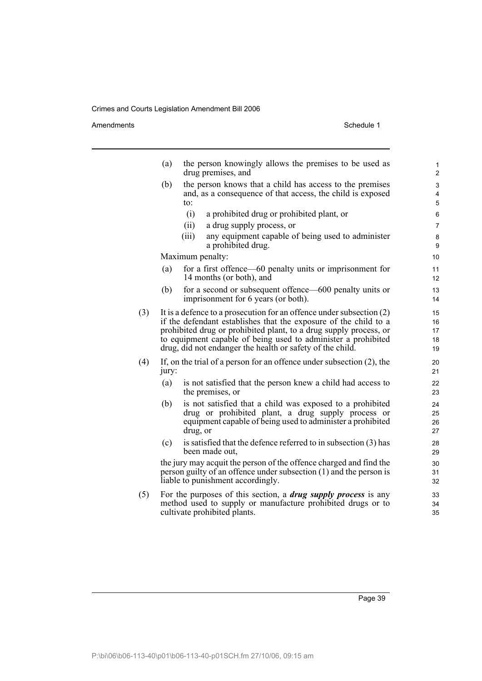Amendments Schedule 1

|     | (a)   | the person knowingly allows the premises to be used as<br>drug premises, and                                                                                                                                                                                                                                                                | 1<br>$\overline{2}$                   |
|-----|-------|---------------------------------------------------------------------------------------------------------------------------------------------------------------------------------------------------------------------------------------------------------------------------------------------------------------------------------------------|---------------------------------------|
|     | (b)   | the person knows that a child has access to the premises<br>and, as a consequence of that access, the child is exposed<br>to:                                                                                                                                                                                                               | $\mathfrak{S}$<br>$\overline{4}$<br>5 |
|     |       | (i)<br>a prohibited drug or prohibited plant, or                                                                                                                                                                                                                                                                                            | 6                                     |
|     |       | a drug supply process, or<br>(ii)                                                                                                                                                                                                                                                                                                           | 7                                     |
|     |       | any equipment capable of being used to administer<br>(iii)<br>a prohibited drug.                                                                                                                                                                                                                                                            | 8<br>9                                |
|     |       | Maximum penalty:                                                                                                                                                                                                                                                                                                                            | 10                                    |
|     | (a)   | for a first offence—60 penalty units or imprisonment for<br>14 months (or both), and                                                                                                                                                                                                                                                        | 11<br>$12 \overline{ }$               |
|     | (b)   | for a second or subsequent offence—600 penalty units or<br>imprisonment for 6 years (or both).                                                                                                                                                                                                                                              | 13<br>14                              |
| (3) |       | It is a defence to a prosecution for an offence under subsection (2)<br>if the defendant establishes that the exposure of the child to a<br>prohibited drug or prohibited plant, to a drug supply process, or<br>to equipment capable of being used to administer a prohibited<br>drug, did not endanger the health or safety of the child. | 15<br>16<br>17<br>18<br>19            |
| (4) | jury: | If, on the trial of a person for an offence under subsection $(2)$ , the                                                                                                                                                                                                                                                                    | 20<br>21                              |
|     | (a)   | is not satisfied that the person knew a child had access to<br>the premises, or                                                                                                                                                                                                                                                             | 22<br>23                              |
|     | (b)   | is not satisfied that a child was exposed to a prohibited<br>drug or prohibited plant, a drug supply process or<br>equipment capable of being used to administer a prohibited<br>drug, or                                                                                                                                                   | 24<br>25<br>26<br>27                  |
|     | (c)   | is satisfied that the defence referred to in subsection (3) has<br>been made out.                                                                                                                                                                                                                                                           | 28<br>29                              |
|     |       | the jury may acquit the person of the offence charged and find the<br>person guilty of an offence under subsection (1) and the person is<br>liable to punishment accordingly.                                                                                                                                                               | 30<br>31<br>32                        |
| (5) |       | For the purposes of this section, a <i>drug supply process</i> is any<br>method used to supply or manufacture prohibited drugs or to<br>cultivate prohibited plants.                                                                                                                                                                        | 33<br>34<br>35                        |
|     |       |                                                                                                                                                                                                                                                                                                                                             |                                       |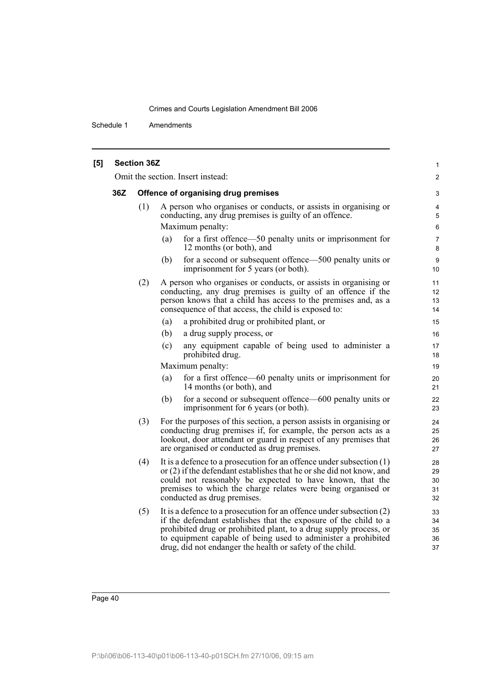Schedule 1 Amendments

| $\bm{[5]}$ |     | <b>Section 36Z</b> |     |                                                                                                                                                                                                                                                                                                                                               | $\mathbf{1}$               |
|------------|-----|--------------------|-----|-----------------------------------------------------------------------------------------------------------------------------------------------------------------------------------------------------------------------------------------------------------------------------------------------------------------------------------------------|----------------------------|
|            |     |                    |     | Omit the section. Insert instead:                                                                                                                                                                                                                                                                                                             | $\overline{2}$             |
|            | 36Z |                    |     | Offence of organising drug premises                                                                                                                                                                                                                                                                                                           | 3                          |
|            |     | (1)                |     | A person who organises or conducts, or assists in organising or<br>conducting, any drug premises is guilty of an offence.<br>Maximum penalty:                                                                                                                                                                                                 | 4<br>5<br>6                |
|            |     |                    | (a) | for a first offence—50 penalty units or imprisonment for<br>12 months (or both), and                                                                                                                                                                                                                                                          | 7<br>8                     |
|            |     |                    | (b) | for a second or subsequent offence—500 penalty units or<br>imprisonment for 5 years (or both).                                                                                                                                                                                                                                                | 9<br>10                    |
|            |     | (2)                |     | A person who organises or conducts, or assists in organising or<br>conducting, any drug premises is guilty of an offence if the<br>person knows that a child has access to the premises and, as a<br>consequence of that access, the child is exposed to:                                                                                     | 11<br>12<br>13<br>14       |
|            |     |                    | (a) | a prohibited drug or prohibited plant, or                                                                                                                                                                                                                                                                                                     | 15                         |
|            |     |                    | (b) | a drug supply process, or                                                                                                                                                                                                                                                                                                                     | 16                         |
|            |     |                    | (c) | any equipment capable of being used to administer a<br>prohibited drug.                                                                                                                                                                                                                                                                       | 17<br>18                   |
|            |     |                    |     | Maximum penalty:                                                                                                                                                                                                                                                                                                                              | 19                         |
|            |     |                    | (a) | for a first offence—60 penalty units or imprisonment for<br>14 months (or both), and                                                                                                                                                                                                                                                          | 20<br>21                   |
|            |     |                    | (b) | for a second or subsequent offence—600 penalty units or<br>imprisonment for 6 years (or both).                                                                                                                                                                                                                                                | 22<br>23                   |
|            |     | (3)                |     | For the purposes of this section, a person assists in organising or<br>conducting drug premises if, for example, the person acts as a<br>lookout, door attendant or guard in respect of any premises that<br>are organised or conducted as drug premises.                                                                                     | 24<br>25<br>26<br>27       |
|            |     | (4)                |     | It is a defence to a prosecution for an offence under subsection $(1)$<br>or (2) if the defendant establishes that he or she did not know, and<br>could not reasonably be expected to have known, that the<br>premises to which the charge relates were being organised or<br>conducted as drug premises.                                     | 28<br>29<br>30<br>31<br>32 |
|            |     | (5)                |     | It is a defence to a prosecution for an offence under subsection $(2)$<br>if the defendant establishes that the exposure of the child to a<br>prohibited drug or prohibited plant, to a drug supply process, or<br>to equipment capable of being used to administer a prohibited<br>drug, did not endanger the health or safety of the child. | 33<br>34<br>35<br>36<br>37 |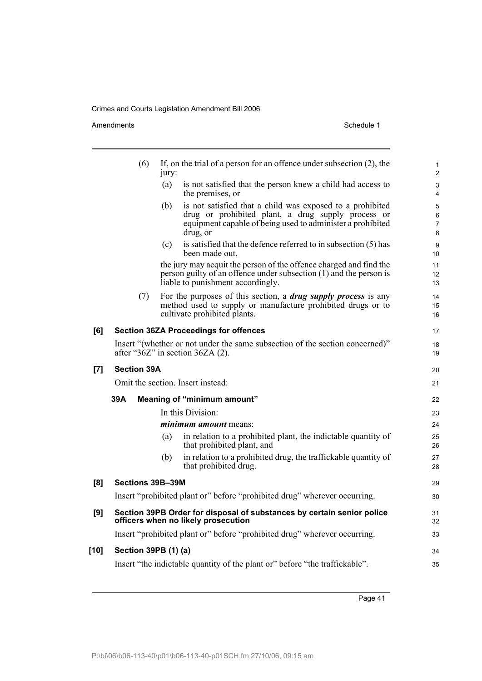Amendments Schedule 1

|     | (6) | jury: |                                                                                                                                                                                           | $\mathbf{1}$<br>2                                                                                                                                                                                                                                                                                                                                                                                                                                                                                                                                                                                                                                                                                                                                                                                                                                                                                                                                                                                                                                                                                                                          |
|-----|-----|-------|-------------------------------------------------------------------------------------------------------------------------------------------------------------------------------------------|--------------------------------------------------------------------------------------------------------------------------------------------------------------------------------------------------------------------------------------------------------------------------------------------------------------------------------------------------------------------------------------------------------------------------------------------------------------------------------------------------------------------------------------------------------------------------------------------------------------------------------------------------------------------------------------------------------------------------------------------------------------------------------------------------------------------------------------------------------------------------------------------------------------------------------------------------------------------------------------------------------------------------------------------------------------------------------------------------------------------------------------------|
|     |     | (a)   | is not satisfied that the person knew a child had access to<br>the premises, or                                                                                                           | 3<br>4                                                                                                                                                                                                                                                                                                                                                                                                                                                                                                                                                                                                                                                                                                                                                                                                                                                                                                                                                                                                                                                                                                                                     |
|     |     | (b)   | is not satisfied that a child was exposed to a prohibited<br>drug or prohibited plant, a drug supply process or<br>equipment capable of being used to administer a prohibited<br>drug, or | 5<br>6<br>$\overline{7}$<br>8                                                                                                                                                                                                                                                                                                                                                                                                                                                                                                                                                                                                                                                                                                                                                                                                                                                                                                                                                                                                                                                                                                              |
|     |     | (c)   | is satisfied that the defence referred to in subsection (5) has<br>been made out,                                                                                                         | 9<br>10                                                                                                                                                                                                                                                                                                                                                                                                                                                                                                                                                                                                                                                                                                                                                                                                                                                                                                                                                                                                                                                                                                                                    |
|     |     |       |                                                                                                                                                                                           | 11<br>12<br>13                                                                                                                                                                                                                                                                                                                                                                                                                                                                                                                                                                                                                                                                                                                                                                                                                                                                                                                                                                                                                                                                                                                             |
|     | (7) |       |                                                                                                                                                                                           | 14<br>15<br>16                                                                                                                                                                                                                                                                                                                                                                                                                                                                                                                                                                                                                                                                                                                                                                                                                                                                                                                                                                                                                                                                                                                             |
|     |     |       |                                                                                                                                                                                           | 17                                                                                                                                                                                                                                                                                                                                                                                                                                                                                                                                                                                                                                                                                                                                                                                                                                                                                                                                                                                                                                                                                                                                         |
|     |     |       |                                                                                                                                                                                           | 18<br>19                                                                                                                                                                                                                                                                                                                                                                                                                                                                                                                                                                                                                                                                                                                                                                                                                                                                                                                                                                                                                                                                                                                                   |
|     |     |       |                                                                                                                                                                                           | 20                                                                                                                                                                                                                                                                                                                                                                                                                                                                                                                                                                                                                                                                                                                                                                                                                                                                                                                                                                                                                                                                                                                                         |
|     |     |       |                                                                                                                                                                                           | 21                                                                                                                                                                                                                                                                                                                                                                                                                                                                                                                                                                                                                                                                                                                                                                                                                                                                                                                                                                                                                                                                                                                                         |
| 39A |     |       |                                                                                                                                                                                           | 22                                                                                                                                                                                                                                                                                                                                                                                                                                                                                                                                                                                                                                                                                                                                                                                                                                                                                                                                                                                                                                                                                                                                         |
|     |     |       |                                                                                                                                                                                           | 23                                                                                                                                                                                                                                                                                                                                                                                                                                                                                                                                                                                                                                                                                                                                                                                                                                                                                                                                                                                                                                                                                                                                         |
|     |     |       |                                                                                                                                                                                           | 24                                                                                                                                                                                                                                                                                                                                                                                                                                                                                                                                                                                                                                                                                                                                                                                                                                                                                                                                                                                                                                                                                                                                         |
|     |     | (a)   | in relation to a prohibited plant, the indictable quantity of<br>that prohibited plant, and                                                                                               | 25<br>26                                                                                                                                                                                                                                                                                                                                                                                                                                                                                                                                                                                                                                                                                                                                                                                                                                                                                                                                                                                                                                                                                                                                   |
|     |     | (b)   | in relation to a prohibited drug, the traffickable quantity of<br>that prohibited drug.                                                                                                   | 27<br>28                                                                                                                                                                                                                                                                                                                                                                                                                                                                                                                                                                                                                                                                                                                                                                                                                                                                                                                                                                                                                                                                                                                                   |
|     |     |       |                                                                                                                                                                                           | 29                                                                                                                                                                                                                                                                                                                                                                                                                                                                                                                                                                                                                                                                                                                                                                                                                                                                                                                                                                                                                                                                                                                                         |
|     |     |       |                                                                                                                                                                                           | 30                                                                                                                                                                                                                                                                                                                                                                                                                                                                                                                                                                                                                                                                                                                                                                                                                                                                                                                                                                                                                                                                                                                                         |
|     |     |       |                                                                                                                                                                                           | 31<br>32                                                                                                                                                                                                                                                                                                                                                                                                                                                                                                                                                                                                                                                                                                                                                                                                                                                                                                                                                                                                                                                                                                                                   |
|     |     |       |                                                                                                                                                                                           | 33                                                                                                                                                                                                                                                                                                                                                                                                                                                                                                                                                                                                                                                                                                                                                                                                                                                                                                                                                                                                                                                                                                                                         |
|     |     |       |                                                                                                                                                                                           | 34                                                                                                                                                                                                                                                                                                                                                                                                                                                                                                                                                                                                                                                                                                                                                                                                                                                                                                                                                                                                                                                                                                                                         |
|     |     |       |                                                                                                                                                                                           | 35                                                                                                                                                                                                                                                                                                                                                                                                                                                                                                                                                                                                                                                                                                                                                                                                                                                                                                                                                                                                                                                                                                                                         |
|     |     |       | <b>Section 39A</b>                                                                                                                                                                        | If, on the trial of a person for an offence under subsection $(2)$ , the<br>the jury may acquit the person of the offence charged and find the<br>person guilty of an offence under subsection (1) and the person is<br>liable to punishment accordingly.<br>For the purposes of this section, a <i>drug supply process</i> is any<br>method used to supply or manufacture prohibited drugs or to<br>cultivate prohibited plants.<br><b>Section 36ZA Proceedings for offences</b><br>Insert "(whether or not under the same subsection of the section concerned)"<br>after " $36Z$ " in section $36ZA(2)$ .<br>Omit the section. Insert instead:<br>Meaning of "minimum amount"<br>In this Division:<br><i>minimum amount</i> means:<br>Sections 39B-39M<br>Insert "prohibited plant or" before "prohibited drug" wherever occurring.<br>Section 39PB Order for disposal of substances by certain senior police<br>officers when no likely prosecution<br>Insert "prohibited plant or" before "prohibited drug" wherever occurring.<br>Section 39PB (1) (a)<br>Insert "the indictable quantity of the plant or" before "the traffickable". |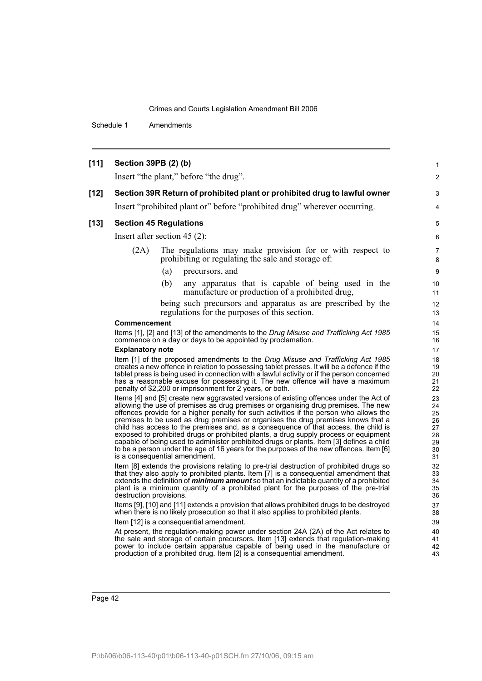| [11]   | Section 39PB (2) (b)                                                                                                                                                                                                                                                                                                                                                                                                                                                                                                                                                                                                                                                                                                                                              | 1                                                  |
|--------|-------------------------------------------------------------------------------------------------------------------------------------------------------------------------------------------------------------------------------------------------------------------------------------------------------------------------------------------------------------------------------------------------------------------------------------------------------------------------------------------------------------------------------------------------------------------------------------------------------------------------------------------------------------------------------------------------------------------------------------------------------------------|----------------------------------------------------|
|        | Insert "the plant," before "the drug".                                                                                                                                                                                                                                                                                                                                                                                                                                                                                                                                                                                                                                                                                                                            | 2                                                  |
| $[12]$ | Section 39R Return of prohibited plant or prohibited drug to lawful owner                                                                                                                                                                                                                                                                                                                                                                                                                                                                                                                                                                                                                                                                                         | 3                                                  |
|        | Insert "prohibited plant or" before "prohibited drug" wherever occurring.                                                                                                                                                                                                                                                                                                                                                                                                                                                                                                                                                                                                                                                                                         | 4                                                  |
| $[13]$ | <b>Section 45 Regulations</b>                                                                                                                                                                                                                                                                                                                                                                                                                                                                                                                                                                                                                                                                                                                                     | 5                                                  |
|        | Insert after section $45(2)$ :                                                                                                                                                                                                                                                                                                                                                                                                                                                                                                                                                                                                                                                                                                                                    | 6                                                  |
|        | (2A)<br>The regulations may make provision for or with respect to<br>prohibiting or regulating the sale and storage of:                                                                                                                                                                                                                                                                                                                                                                                                                                                                                                                                                                                                                                           | 7<br>8                                             |
|        | (a)<br>precursors, and                                                                                                                                                                                                                                                                                                                                                                                                                                                                                                                                                                                                                                                                                                                                            | 9                                                  |
|        | (b)<br>any apparatus that is capable of being used in the<br>manufacture or production of a prohibited drug,                                                                                                                                                                                                                                                                                                                                                                                                                                                                                                                                                                                                                                                      | 10<br>11                                           |
|        | being such precursors and apparatus as are prescribed by the<br>regulations for the purposes of this section.                                                                                                                                                                                                                                                                                                                                                                                                                                                                                                                                                                                                                                                     | 12<br>13                                           |
|        | <b>Commencement</b>                                                                                                                                                                                                                                                                                                                                                                                                                                                                                                                                                                                                                                                                                                                                               | 14                                                 |
|        | Items [1], [2] and [13] of the amendments to the <i>Drug Misuse and Trafficking Act 1985</i><br>commence on a day or days to be appointed by proclamation.                                                                                                                                                                                                                                                                                                                                                                                                                                                                                                                                                                                                        | 15<br>16                                           |
|        | <b>Explanatory note</b>                                                                                                                                                                                                                                                                                                                                                                                                                                                                                                                                                                                                                                                                                                                                           | 17                                                 |
|        | Item [1] of the proposed amendments to the <i>Drug Misuse and Trafficking Act 1985</i><br>creates a new offence in relation to possessing tablet presses. It will be a defence if the<br>tablet press is being used in connection with a lawful activity or if the person concerned<br>has a reasonable excuse for possessing it. The new offence will have a maximum<br>penalty of \$2,200 or imprisonment for 2 years, or both.                                                                                                                                                                                                                                                                                                                                 | 18<br>19<br>20<br>21<br>22                         |
|        | Items [4] and [5] create new aggravated versions of existing offences under the Act of<br>allowing the use of premises as drug premises or organising drug premises. The new<br>offences provide for a higher penalty for such activities if the person who allows the<br>premises to be used as drug premises or organises the drug premises knows that a<br>child has access to the premises and, as a consequence of that access, the child is<br>exposed to prohibited drugs or prohibited plants, a drug supply process or equipment<br>capable of being used to administer prohibited drugs or plants. Item [3] defines a child<br>to be a person under the age of 16 years for the purposes of the new offences. Item [6]<br>is a consequential amendment. | 23<br>24<br>25<br>26<br>27<br>28<br>29<br>30<br>31 |
|        | Item [8] extends the provisions relating to pre-trial destruction of prohibited drugs so<br>that they also apply to prohibited plants. Item [7] is a consequential amendment that<br>extends the definition of <i>minimum amount</i> so that an indictable quantity of a prohibited<br>plant is a minimum quantity of a prohibited plant for the purposes of the pre-trial<br>destruction provisions.                                                                                                                                                                                                                                                                                                                                                             | 32<br>33<br>34<br>35<br>36                         |
|        | Items [9], [10] and [11] extends a provision that allows prohibited drugs to be destroyed<br>when there is no likely prosecution so that it also applies to prohibited plants.                                                                                                                                                                                                                                                                                                                                                                                                                                                                                                                                                                                    | 37<br>38                                           |
|        | Item [12] is a consequential amendment.                                                                                                                                                                                                                                                                                                                                                                                                                                                                                                                                                                                                                                                                                                                           | 39                                                 |
|        | At present, the regulation-making power under section 24A (2A) of the Act relates to<br>the sale and storage of certain precursors. Item [13] extends that regulation-making<br>power to include certain apparatus capable of being used in the manufacture or<br>production of a prohibited drug. Item [2] is a consequential amendment.                                                                                                                                                                                                                                                                                                                                                                                                                         | 40<br>41<br>42<br>43                               |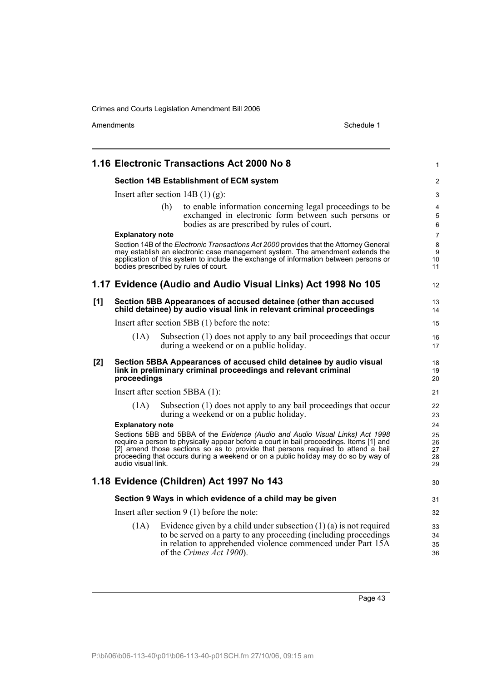Amendments Schedule 1

|     |                                               | 1.16 Electronic Transactions Act 2000 No 8                                                                                                                                                                                                                                                                                                         | $\mathbf{1}$                         |  |  |  |
|-----|-----------------------------------------------|----------------------------------------------------------------------------------------------------------------------------------------------------------------------------------------------------------------------------------------------------------------------------------------------------------------------------------------------------|--------------------------------------|--|--|--|
|     | Section 14B Establishment of ECM system       |                                                                                                                                                                                                                                                                                                                                                    |                                      |  |  |  |
|     |                                               | Insert after section $14B(1)(g)$ :                                                                                                                                                                                                                                                                                                                 | 3                                    |  |  |  |
|     |                                               | (h)<br>to enable information concerning legal proceedings to be<br>exchanged in electronic form between such persons or<br>bodies as are prescribed by rules of court.                                                                                                                                                                             | 4<br>$\mathbf 5$<br>6                |  |  |  |
|     | <b>Explanatory note</b>                       | Section 14B of the <i>Electronic Transactions Act 2000</i> provides that the Attorney General<br>may establish an electronic case management system. The amendment extends the<br>application of this system to include the exchange of information between persons or<br>bodies prescribed by rules of court.                                     | $\overline{7}$<br>8<br>9<br>10<br>11 |  |  |  |
|     |                                               | 1.17 Evidence (Audio and Audio Visual Links) Act 1998 No 105                                                                                                                                                                                                                                                                                       | 12                                   |  |  |  |
| [1] |                                               | Section 5BB Appearances of accused detainee (other than accused<br>child detainee) by audio visual link in relevant criminal proceedings                                                                                                                                                                                                           | 13<br>14                             |  |  |  |
|     |                                               | Insert after section 5BB (1) before the note:                                                                                                                                                                                                                                                                                                      | 15                                   |  |  |  |
|     | (1A)                                          | Subsection (1) does not apply to any bail proceedings that occur<br>during a weekend or on a public holiday.                                                                                                                                                                                                                                       | 16<br>17                             |  |  |  |
| [2] | proceedings                                   | Section 5BBA Appearances of accused child detainee by audio visual<br>link in preliminary criminal proceedings and relevant criminal                                                                                                                                                                                                               | 18<br>19<br>20                       |  |  |  |
|     |                                               | Insert after section 5BBA (1):                                                                                                                                                                                                                                                                                                                     | 21                                   |  |  |  |
|     | (1A)                                          | Subsection (1) does not apply to any bail proceedings that occur<br>during a weekend or on a public holiday.                                                                                                                                                                                                                                       | 22<br>23                             |  |  |  |
|     | <b>Explanatory note</b><br>audio visual link. | Sections 5BB and 5BBA of the Evidence (Audio and Audio Visual Links) Act 1998<br>require a person to physically appear before a court in bail proceedings. Items [1] and<br>[2] amend those sections so as to provide that persons required to attend a bail<br>proceeding that occurs during a weekend or on a public holiday may do so by way of | 24<br>25<br>26<br>27<br>28<br>29     |  |  |  |
|     |                                               | 1.18 Evidence (Children) Act 1997 No 143                                                                                                                                                                                                                                                                                                           | 30                                   |  |  |  |
|     |                                               | Section 9 Ways in which evidence of a child may be given                                                                                                                                                                                                                                                                                           | 31                                   |  |  |  |
|     |                                               | Insert after section $9(1)$ before the note:                                                                                                                                                                                                                                                                                                       | 32                                   |  |  |  |
|     | (1A)                                          | Evidence given by a child under subsection $(1)$ (a) is not required<br>to be served on a party to any proceeding (including proceedings)<br>in relation to apprehended violence commenced under Part 15A<br>of the Crimes Act 1900).                                                                                                              | 33<br>34<br>35<br>36                 |  |  |  |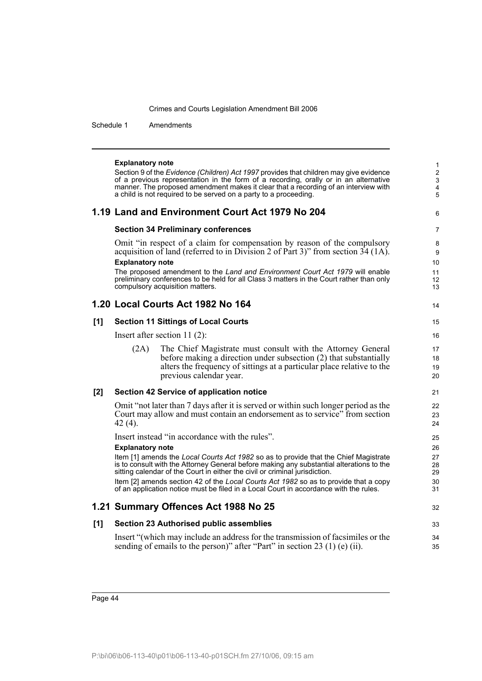Schedule 1 Amendments

#### **Explanatory note**

Section 9 of the *Evidence (Children) Act 1997* provides that children may give evidence of a previous representation in the form of a recording, orally or in an alternative manner. The proposed amendment makes it clear that a recording of an interview with a child is not required to be served on a party to a proceeding.

14

32

33 34 35

### **1.19 Land and Environment Court Act 1979 No 204**

#### **Section 34 Preliminary conferences**

Omit "in respect of a claim for compensation by reason of the compulsory acquisition of land (referred to in Division 2 of Part 3)" from section 34 (1A).

#### **Explanatory note**

The proposed amendment to the *Land and Environment Court Act 1979* will enable preliminary conferences to be held for all Class 3 matters in the Court rather than only compulsory acquisition matters.

### **1.20 Local Courts Act 1982 No 164**

#### **[1] Section 11 Sittings of Local Courts**

Insert after section 11 (2):

(2A) The Chief Magistrate must consult with the Attorney General before making a direction under subsection (2) that substantially alters the frequency of sittings at a particular place relative to the previous calendar year.

#### **[2] Section 42 Service of application notice**

Omit "not later than 7 days after it is served or within such longer period as the Court may allow and must contain an endorsement as to service" from section 42 (4).

Insert instead "in accordance with the rules".

#### **Explanatory note**

Item [1] amends the *Local Courts Act 1982* so as to provide that the Chief Magistrate is to consult with the Attorney General before making any substantial alterations to the sitting calendar of the Court in either the civil or criminal jurisdiction. Item [2] amends section 42 of the *Local Courts Act 1982* so as to provide that a copy of an application notice must be filed in a Local Court in accordance with the rules.

#### **1.21 Summary Offences Act 1988 No 25**

#### **[1] Section 23 Authorised public assemblies**

Insert "(which may include an address for the transmission of facsimiles or the sending of emails to the person)" after "Part" in section 23 (1) (e) (ii).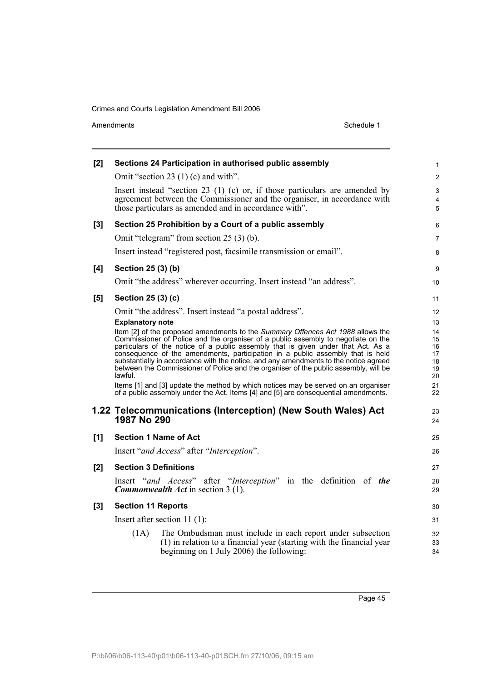Amendments Schedule 1

| [2] | Sections 24 Participation in authorised public assembly                                                                                                                                                           | $\mathbf{1}$   |
|-----|-------------------------------------------------------------------------------------------------------------------------------------------------------------------------------------------------------------------|----------------|
|     | Omit "section 23 $(1)$ (c) and with".                                                                                                                                                                             | $\overline{2}$ |
|     | Insert instead "section 23 $(1)$ (c) or, if those particulars are amended by<br>agreement between the Commissioner and the organiser, in accordance with<br>those particulars as amended and in accordance with". | 3<br>4<br>5    |
| [3] | Section 25 Prohibition by a Court of a public assembly                                                                                                                                                            | 6              |
|     | Omit "telegram" from section 25 (3) (b).                                                                                                                                                                          | $\overline{7}$ |
|     | Insert instead "registered post, facsimile transmission or email".                                                                                                                                                | 8              |
| [4] | Section 25 (3) (b)                                                                                                                                                                                                | 9              |
|     | Omit "the address" wherever occurring. Insert instead "an address".                                                                                                                                               | 10             |
| [5] | Section 25 (3) (c)                                                                                                                                                                                                | 11             |
|     | Omit "the address". Insert instead "a postal address".                                                                                                                                                            | 12             |
|     | <b>Explanatory note</b>                                                                                                                                                                                           | 13             |
|     | Item [2] of the proposed amendments to the Summary Offences Act 1988 allows the<br>Commissioner of Police and the organiser of a public assembly to negotiate on the                                              | 14<br>15       |
|     | particulars of the notice of a public assembly that is given under that Act. As a                                                                                                                                 | 16             |
|     | consequence of the amendments, participation in a public assembly that is held<br>substantially in accordance with the notice, and any amendments to the notice agreed                                            | 17<br>18       |
|     | between the Commissioner of Police and the organiser of the public assembly, will be                                                                                                                              | 19             |
|     | lawful.                                                                                                                                                                                                           | 20             |
|     | Items [1] and [3] update the method by which notices may be served on an organiser<br>of a public assembly under the Act. Items [4] and [5] are consequential amendments.                                         | 21<br>22       |
|     | 1.22 Telecommunications (Interception) (New South Wales) Act                                                                                                                                                      | 23             |
|     | 1987 No 290                                                                                                                                                                                                       | 24             |
| [1] | <b>Section 1 Name of Act</b>                                                                                                                                                                                      | 25             |
|     | Insert "and Access" after "Interception".                                                                                                                                                                         | 26             |
| [2] | <b>Section 3 Definitions</b>                                                                                                                                                                                      | 27             |
|     | Insert "and Access" after "Interception" in the definition of the                                                                                                                                                 | 28             |
|     | <b>Commonwealth Act in section 3 (1).</b>                                                                                                                                                                         | 29             |
| [3] | <b>Section 11 Reports</b>                                                                                                                                                                                         | 30             |
|     | Insert after section 11 $(1)$ :                                                                                                                                                                                   | 31             |
|     | (1A)<br>The Ombudsman must include in each report under subsection<br>(1) in relation to a financial year (starting with the financial year<br>beginning on 1 July 2006) the following:                           | 32<br>33<br>34 |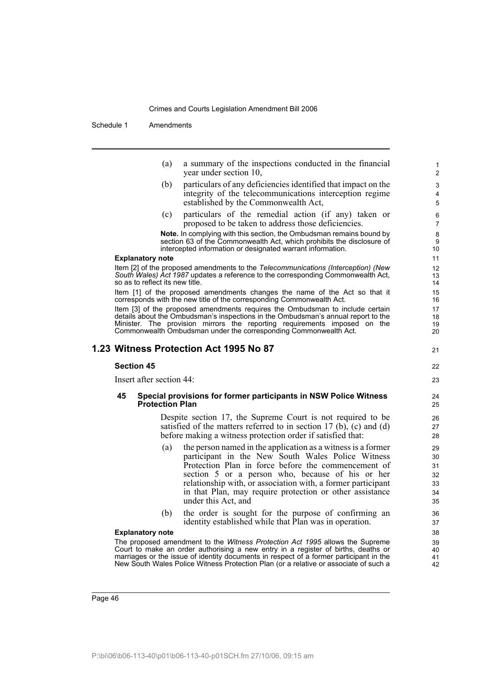Schedule 1 Amendments

(a) a summary of the inspections conducted in the financial year under section 10,

21

22 23

- (b) particulars of any deficiencies identified that impact on the integrity of the telecommunications interception regime established by the Commonwealth Act,
- (c) particulars of the remedial action (if any) taken or proposed to be taken to address those deficiencies.

**Note.** In complying with this section, the Ombudsman remains bound by section 63 of the Commonwealth Act, which prohibits the disclosure of intercepted information or designated warrant information.

#### **Explanatory note**

Item [2] of the proposed amendments to the *Telecommunications (Interception) (New South Wales) Act 1987* updates a reference to the corresponding Commonwealth Act, so as to reflect its new title.

Item [1] of the proposed amendments changes the name of the Act so that it corresponds with the new title of the corresponding Commonwealth Act.

Item [3] of the proposed amendments requires the Ombudsman to include certain details about the Ombudsman's inspections in the Ombudsman's annual report to the Minister. The provision mirrors the reporting requirements imposed on the Commonwealth Ombudsman under the corresponding Commonwealth Act.

### **1.23 Witness Protection Act 1995 No 87**

#### **Section 45**

Insert after section 44:

#### **45 Special provisions for former participants in NSW Police Witness Protection Plan**

Despite section 17, the Supreme Court is not required to be satisfied of the matters referred to in section 17 (b), (c) and (d) before making a witness protection order if satisfied that:

- (a) the person named in the application as a witness is a former participant in the New South Wales Police Witness Protection Plan in force before the commencement of section 5 or a person who, because of his or her relationship with, or association with, a former participant in that Plan, may require protection or other assistance under this Act, and
- (b) the order is sought for the purpose of confirming an identity established while that Plan was in operation.

#### **Explanatory note**

The proposed amendment to the *Witness Protection Act 1995* allows the Supreme Court to make an order authorising a new entry in a register of births, deaths or marriages or the issue of identity documents in respect of a former participant in the New South Wales Police Witness Protection Plan (or a relative or associate of such a